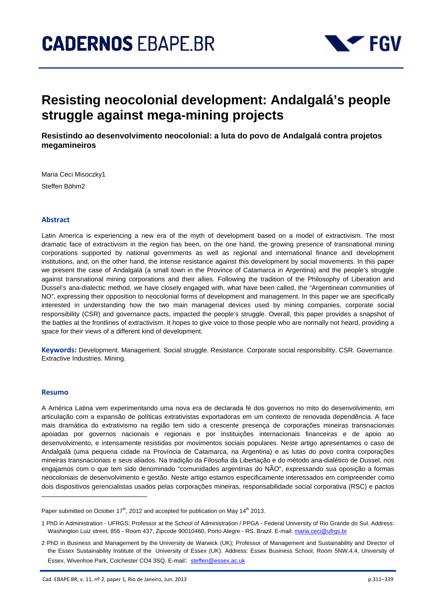

# **Resisting neocolonial development: Andalgalá's people struggle against mega-mining projects**

**Resistindo ao desenvolvimento neocolonial: a luta do povo de Andalgalá contra projetos megamineiros** 

Maria Ceci Misoczky1 Steffen Böhm2

#### **Abstract**

Latin America is experiencing a new era of the myth of development based on a model of extractivism. The most dramatic face of extractivism in the region has been, on the one hand, the growing presence of transnational mining corporations supported by national governments as well as regional and international finance and development institutions, and, on the other hand, the intense resistance against this development by social movements. In this paper we present the case of Andalgalá (a small town in the Province of Catamarca in Argentina) and the people's struggle against transnational mining corporations and their allies. Following the tradition of the Philosophy of Liberation and Dussel's ana-dialectic method, we have closely engaged with, what have been called, the "Argentinean communities of NO", expressing their opposition to neocolonial forms of development and management. In this paper we are specifically interested in understanding how the two main managerial devices used by mining companies, corporate social responsibility (CSR) and governance pacts, impacted the people's struggle. Overall, this paper provides a snapshot of the battles at the frontlines of extractivism. It hopes to give voice to those people who are normally not heard, providing a space for their views of a different kind of development.

**Keywords:** Development. Management. Social struggle. Resistance. Corporate social responsibility. CSR. Governance. Extractive Industries. Mining.

#### **Resumo**

l

A América Latina vem experimentando uma nova era de declarada fé dos governos no mito do desenvolvimento, em articulação com a expansão de políticas extrativistas exportadoras em um contexto de renovada dependência. A face mais dramática do extrativismo na região tem sido a crescente presença de corporações mineiras transnacionais apoiadas por governos nacionais e regionais e por instituições internacionais financeiras e de apoio ao desenvolvimento, e intensamente resistidas por movimentos sociais populares. Neste artigo apresentamos o caso de Andalgalá (uma pequena cidade na Província de Catamarca, na Argentina) e as lutas do povo contra corporações mineiras transnacionais e seus aliados. Na tradição da Filosofia da Libertação e do método ana-dialético de Dussel, nos engajamos com o que tem sido denominado "comunidades argentinas do NÃO", expressando sua oposição a formas neocoloniais de desenvolvimento e gestão. Neste artigo estamos especificamente interessados em compreender como dois dispositivos gerencialistas usados pelas corporações mineiras, responsabilidade social corporativa (RSC) e pactos

Paper submitted on October 17<sup>th</sup>, 2012 and accepted for publication on May 14<sup>th</sup> 2013.

<sup>1</sup> PhD in Administration - UFRGS; Professor at the School of Administration / PPGA - Federal University of Rio Grande do Sul. Address: Washington Luiz street, 855 - Room 437, Zipcode 90010460, Porto Alegre - RS, Brazil. E-mail: maria.ceci@ufrgs.br

<sup>2</sup> PhD in Business and Management by the University de Warwick (UK); Professor of Management and Sustainability and Director of the Essex Sustainability Institute of the University of Essex (UK). Address: Essex Business School, Room 5NW.4.4, University of Essex, Wivenhoe Park, Colchester CO4 3SQ. E-mail: steffen@essex.ac.uk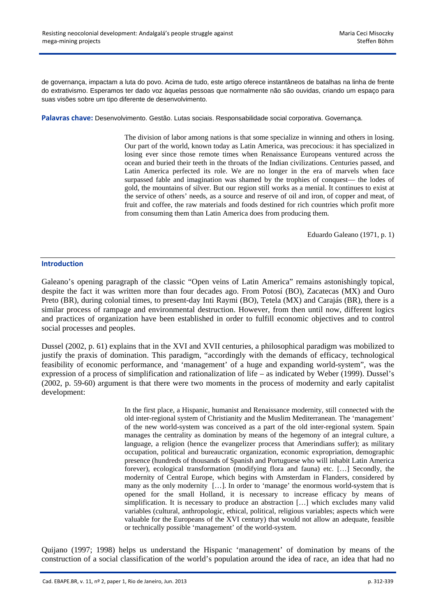de governança, impactam a luta do povo. Acima de tudo, este artigo oferece instantâneos de batalhas na linha de frente do extrativismo. Esperamos ter dado voz àquelas pessoas que normalmente não são ouvidas, criando um espaço para suas visões sobre um tipo diferente de desenvolvimento.

**Palavras chave:** Desenvolvimento. Gestão. Lutas sociais. Responsabilidade social corporativa. Governança.

The division of labor among nations is that some specialize in winning and others in losing. Our part of the world, known today as Latin America, was precocious: it has specialized in losing ever since those remote times when Renaissance Europeans ventured across the ocean and buried their teeth in the throats of the Indian civilizations. Centuries passed, and Latin America perfected its role. We are no longer in the era of marvels when face surpassed fable and imagination was shamed by the trophies of conquest— the lodes of gold, the mountains of silver. But our region still works as a menial. It continues to exist at the service of others' needs, as a source and reserve of oil and iron, of copper and meat, of fruit and coffee, the raw materials and foods destined for rich countries which profit more from consuming them than Latin America does from producing them.

Eduardo Galeano (1971, p. 1)

## **Introduction**

Galeano's opening paragraph of the classic "Open veins of Latin America" remains astonishingly topical, despite the fact it was written more than four decades ago. From Potosí (BO), Zacatecas (MX) and Ouro Preto (BR), during colonial times, to present-day Inti Raymi (BO), Tetela (MX) and Carajás (BR), there is a similar process of rampage and environmental destruction. However, from then until now, different logics and practices of organization have been established in order to fulfill economic objectives and to control social processes and peoples.

Dussel (2002, p. 61) explains that in the XVI and XVII centuries, a philosophical paradigm was mobilized to justify the praxis of domination. This paradigm, "accordingly with the demands of efficacy, technological feasibility of economic performance, and 'management' of a huge and expanding world-system", was the expression of a process of simplification and rationalization of life – as indicated by Weber (1999). Dussel's (2002, p. 59-60) argument is that there were two moments in the process of modernity and early capitalist development:

> In the first place, a Hispanic, humanist and Renaissance modernity, still connected with the old inter-regional system of Christianity and the Muslim Mediterranean. The 'management' of the new world-system was conceived as a part of the old inter-regional system. Spain manages the centrality as domination by means of the hegemony of an integral culture, a language, a religion (hence the evangelizer process that Amerindians suffer); as military occupation, political and bureaucratic organization, economic expropriation, demographic presence (hundreds of thousands of Spanish and Portuguese who will inhabit Latin America forever), ecological transformation (modifying flora and fauna) etc. […] Secondly, the modernity of Central Europe, which begins with Amsterdam in Flanders, considered by many as the only modernity […]. In order to 'manage' the enormous world-system that is opened for the small Holland, it is necessary to increase efficacy by means of simplification. It is necessary to produce an abstraction […] which excludes many valid variables (cultural, anthropologic, ethical, political, religious variables; aspects which were valuable for the Europeans of the XVI century) that would not allow an adequate, feasible or technically possible 'management' of the world-system.

Quijano (1997; 1998) helps us understand the Hispanic 'management' of domination by means of the construction of a social classification of the world's population around the idea of race, an idea that had no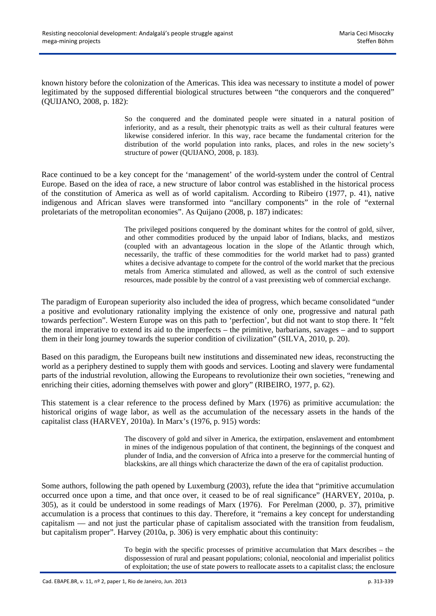known history before the colonization of the Americas. This idea was necessary to institute a model of power legitimated by the supposed differential biological structures between "the conquerors and the conquered" (QUIJANO, 2008, p. 182):

> So the conquered and the dominated people were situated in a natural position of inferiority, and as a result, their phenotypic traits as well as their cultural features were likewise considered inferior. In this way, race became the fundamental criterion for the distribution of the world population into ranks, places, and roles in the new society's structure of power (QUIJANO, 2008, p. 183).

Race continued to be a key concept for the 'management' of the world-system under the control of Central Europe. Based on the idea of race, a new structure of labor control was established in the historical process of the constitution of America as well as of world capitalism. According to Ribeiro (1977, p. 41), native indigenous and African slaves were transformed into "ancillary components" in the role of "external proletariats of the metropolitan economies". As Quijano (2008, p. 187) indicates:

> The privileged positions conquered by the dominant whites for the control of gold, silver, and other commodities produced by the unpaid labor of Indians, blacks, and mestizos (coupled with an advantageous location in the slope of the Atlantic through which, necessarily, the traffic of these commodities for the world market had to pass) granted whites a decisive advantage to compete for the control of the world market that the precious metals from America stimulated and allowed, as well as the control of such extensive resources, made possible by the control of a vast preexisting web of commercial exchange.

The paradigm of European superiority also included the idea of progress, which became consolidated "under a positive and evolutionary rationality implying the existence of only one, progressive and natural path towards perfection". Western Europe was on this path to 'perfection', but did not want to stop there. It "felt the moral imperative to extend its aid to the imperfects – the primitive, barbarians, savages – and to support them in their long journey towards the superior condition of civilization" (SILVA, 2010, p. 20).

Based on this paradigm, the Europeans built new institutions and disseminated new ideas, reconstructing the world as a periphery destined to supply them with goods and services. Looting and slavery were fundamental parts of the industrial revolution, allowing the Europeans to revolutionize their own societies, "renewing and enriching their cities, adorning themselves with power and glory" (RIBEIRO, 1977, p. 62).

This statement is a clear reference to the process defined by Marx (1976) as primitive accumulation: the historical origins of wage labor, as well as the accumulation of the necessary assets in the hands of the capitalist class (HARVEY, 2010a). In Marx's (1976, p. 915) words:

> The discovery of gold and silver in America, the extirpation, enslavement and entombment in mines of the indigenous population of that continent, the beginnings of the conquest and plunder of India, and the conversion of Africa into a preserve for the commercial hunting of blackskins, are all things which characterize the dawn of the era of capitalist production.

Some authors, following the path opened by Luxemburg (2003), refute the idea that "primitive accumulation occurred once upon a time, and that once over, it ceased to be of real significance" (HARVEY, 2010a, p. 305), as it could be understood in some readings of Marx (1976). For Perelman (2000, p. 37), primitive accumulation is a process that continues to this day. Therefore, it "remains a key concept for understanding capitalism — and not just the particular phase of capitalism associated with the transition from feudalism, but capitalism proper". Harvey (2010a, p. 306) is very emphatic about this continuity:

> To begin with the specific processes of primitive accumulation that Marx describes – the dispossession of rural and peasant populations; colonial, neocolonial and imperialist politics of exploitation; the use of state powers to reallocate assets to a capitalist class; the enclosure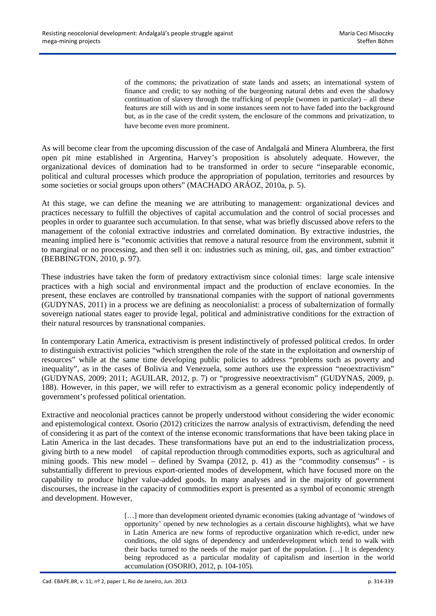of the commons; the privatization of state lands and assets; an international system of finance and credit; to say nothing of the burgeoning natural debts and even the shadowy continuation of slavery through the trafficking of people (women in particular) – all these features are still with us and in some instances seem not to have faded into the background but, as in the case of the credit system, the enclosure of the commons and privatization, to have become even more prominent.

As will become clear from the upcoming discussion of the case of Andalgalá and Minera Alumbrera, the first open pit mine established in Argentina, Harvey's proposition is absolutely adequate. However, the organizational devices of domination had to be transformed in order to secure "inseparable economic, political and cultural processes which produce the appropriation of population, territories and resources by some societies or social groups upon others" (MACHADO ARÁOZ, 2010a, p. 5).

At this stage, we can define the meaning we are attributing to management: organizational devices and practices necessary to fulfill the objectives of capital accumulation and the control of social processes and peoples in order to guarantee such accumulation. In that sense, what was briefly discussed above refers to the management of the colonial extractive industries and correlated domination. By extractive industries, the meaning implied here is "economic activities that remove a natural resource from the environment, submit it to marginal or no processing, and then sell it on: industries such as mining, oil, gas, and timber extraction" (BEBBINGTON, 2010, p. 97).

These industries have taken the form of predatory extractivism since colonial times: large scale intensive practices with a high social and environmental impact and the production of enclave economies. In the present, these enclaves are controlled by transnational companies with the support of national governments (GUDYNAS, 2011) in a process we are defining as neocolonialist: a process of subalternization of formally sovereign national states eager to provide legal, political and administrative conditions for the extraction of their natural resources by transnational companies.

In contemporary Latin America, extractivism is present indistinctively of professed political credos. In order to distinguish extractivist policies "which strengthen the role of the state in the exploitation and ownership of resources" while at the same time developing public policies to address "problems such as poverty and inequality", as in the cases of Bolivia and Venezuela, some authors use the expression "neoextractivism" (GUDYNAS, 2009; 2011; AGUILAR, 2012, p. 7) or "progressive neoextractivism" (GUDYNAS, 2009, p. 188). However, in this paper, we will refer to extractivism as a general economic policy independently of government's professed political orientation.

Extractive and neocolonial practices cannot be properly understood without considering the wider economic and epistemological context. Osorio (2012) criticizes the narrow analysis of extractivism, defending the need of considering it as part of the context of the intense economic transformations that have been taking place in Latin America in the last decades. These transformations have put an end to the industrialization process, giving birth to a new model of capital reproduction through commodities exports, such as agricultural and mining goods. This new model – defined by Svampa (2012, p. 41) as the "commodity consensus" - is substantially different to previous export-oriented modes of development, which have focused more on the capability to produce higher value-added goods. In many analyses and in the majority of government discourses, the increase in the capacity of commodities export is presented as a symbol of economic strength and development. However,

> [...] more than development oriented dynamic economies (taking advantage of 'windows of opportunity' opened by new technologies as a certain discourse highlights), what we have in Latin America are new forms of reproductive organization which re-edict, under new conditions, the old signs of dependency and underdevelopment which tend to walk with their backs turned to the needs of the major part of the population. […] It is dependency being reproduced as a particular modality of capitalism and insertion in the world accumulation (OSORIO, 2012, p. 104-105).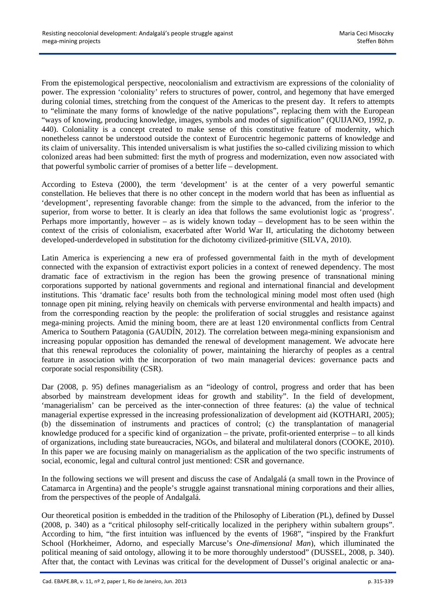From the epistemological perspective, neocolonialism and extractivism are expressions of the coloniality of power. The expression 'coloniality' refers to structures of power, control, and hegemony that have emerged during colonial times, stretching from the conquest of the Americas to the present day.It refers to attempts to "eliminate the many forms of knowledge of the native populations", replacing them with the European "ways of knowing, producing knowledge, images, symbols and modes of signification" (QUIJANO, 1992, p. 440). Coloniality is a concept created to make sense of this constitutive feature of modernity, which nonetheless cannot be understood outside the context of Eurocentric hegemonic patterns of knowledge and its claim of universality. This intended universalism is what justifies the so-called civilizing mission to which colonized areas had been submitted: first the myth of progress and modernization, even now associated with that powerful symbolic carrier of promises of a better life – development.

According to Esteva (2000), the term 'development' is at the center of a very powerful semantic constellation. He believes that there is no other concept in the modern world that has been as influential as 'development', representing favorable change: from the simple to the advanced, from the inferior to the superior, from worse to better. It is clearly an idea that follows the same evolutionist logic as 'progress'. Perhaps more importantly, however – as is widely known today – development has to be seen within the context of the crisis of colonialism, exacerbated after World War II, articulating the dichotomy between developed-underdeveloped in substitution for the dichotomy civilized-primitive (SILVA, 2010).

Latin America is experiencing a new era of professed governmental faith in the myth of development connected with the expansion of extractivist export policies in a context of renewed dependency. The most dramatic face of extractivism in the region has been the growing presence of transnational mining corporations supported by national governments and regional and international financial and development institutions. This 'dramatic face' results both from the technological mining model most often used (high tonnage open pit mining, relying heavily on chemicals with perverse environmental and health impacts) and from the corresponding reaction by the people: the proliferation of social struggles and resistance against mega-mining projects. Amid the mining boom, there are at least 120 environmental conflicts from Central America to Southern Patagonia (GAUDÍN, 2012). The correlation between mega-mining expansionism and increasing popular opposition has demanded the renewal of development management. We advocate here that this renewal reproduces the coloniality of power, maintaining the hierarchy of peoples as a central feature in association with the incorporation of two main managerial devices: governance pacts and corporate social responsibility (CSR).

Dar (2008, p. 95) defines managerialism as an "ideology of control, progress and order that has been absorbed by mainstream development ideas for growth and stability". In the field of development, 'managerialism' can be perceived as the inter-connection of three features: (a) the value of technical managerial expertise expressed in the increasing professionalization of development aid (KOTHARI, 2005); (b) the dissemination of instruments and practices of control; (c) the transplantation of managerial knowledge produced for a specific kind of organization – the private, profit-oriented enterprise – to all kinds of organizations, including state bureaucracies, NGOs, and bilateral and multilateral donors (COOKE, 2010). In this paper we are focusing mainly on managerialism as the application of the two specific instruments of social, economic, legal and cultural control just mentioned: CSR and governance.

In the following sections we will present and discuss the case of Andalgalá (a small town in the Province of Catamarca in Argentina) and the people's struggle against transnational mining corporations and their allies, from the perspectives of the people of Andalgalá.

Our theoretical position is embedded in the tradition of the Philosophy of Liberation (PL), defined by Dussel (2008, p. 340) as a "critical philosophy self-critically localized in the periphery within subaltern groups". According to him, "the first intuition was influenced by the events of 1968", "inspired by the Frankfurt School (Horkheimer, Adorno, and especially Marcuse's *One-dimensional Man*), which illuminated the political meaning of said ontology, allowing it to be more thoroughly understood" (DUSSEL, 2008, p. 340). After that, the contact with Levinas was critical for the development of Dussel's original analectic or ana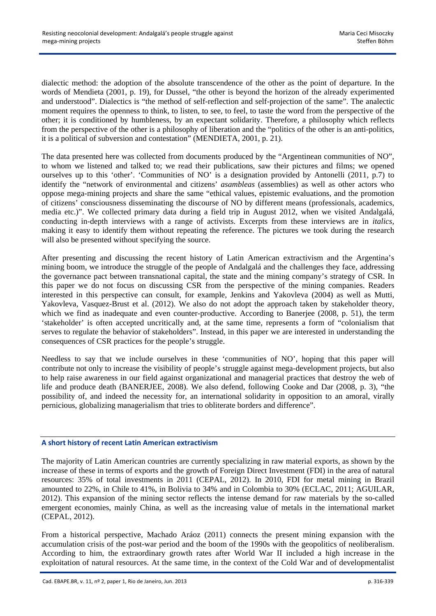dialectic method: the adoption of the absolute transcendence of the other as the point of departure. In the words of Mendieta (2001, p. 19), for Dussel, "the other is beyond the horizon of the already experimented and understood". Dialectics is "the method of self-reflection and self-projection of the same". The analectic moment requires the openness to think, to listen, to see, to feel, to taste the word from the perspective of the other; it is conditioned by humbleness, by an expectant solidarity. Therefore, a philosophy which reflects from the perspective of the other is a philosophy of liberation and the "politics of the other is an anti-politics, it is a political of subversion and contestation" (MENDIETA, 2001, p. 21).

The data presented here was collected from documents produced by the "Argentinean communities of NO", to whom we listened and talked to; we read their publications, saw their pictures and films; we opened ourselves up to this 'other'. 'Communities of NO' is a designation provided by Antonelli (2011, p.7) to identify the "network of environmental and citizens' *asambleas* (assemblies) as well as other actors who oppose mega-mining projects and share the same "ethical values, epistemic evaluations, and the promotion of citizens' consciousness disseminating the discourse of NO by different means (professionals, academics, media etc.)". We collected primary data during a field trip in August 2012, when we visited Andalgalá, conducting in-depth interviews with a range of activists. Excerpts from these interviews are in *italics*, making it easy to identify them without repeating the reference. The pictures we took during the research will also be presented without specifying the source.

After presenting and discussing the recent history of Latin American extractivism and the Argentina's mining boom, we introduce the struggle of the people of Andalgalá and the challenges they face, addressing the governance pact between transnational capital, the state and the mining company's strategy of CSR. In this paper we do not focus on discussing CSR from the perspective of the mining companies. Readers interested in this perspective can consult, for example, Jenkins and Yakovleva (2004) as well as Mutti, Yakovleva, Vasquez-Brust et al. (2012). We also do not adopt the approach taken by stakeholder theory, which we find as inadequate and even counter-productive. According to Banerjee (2008, p. 51), the term 'stakeholder' is often accepted uncritically and, at the same time, represents a form of "colonialism that serves to regulate the behavior of stakeholders". Instead, in this paper we are interested in understanding the consequences of CSR practices for the people's struggle.

Needless to say that we include ourselves in these 'communities of NO', hoping that this paper will contribute not only to increase the visibility of people's struggle against mega-development projects, but also to help raise awareness in our field against organizational and managerial practices that destroy the web of life and produce death (BANERJEE, 2008). We also defend, following Cooke and Dar (2008, p. 3), "the possibility of, and indeed the necessity for, an international solidarity in opposition to an amoral, virally pernicious, globalizing managerialism that tries to obliterate borders and difference".

## **A short history of recent Latin American extractivism**

The majority of Latin American countries are currently specializing in raw material exports, as shown by the increase of these in terms of exports and the growth of Foreign Direct Investment (FDI) in the area of natural resources: 35% of total investments in 2011 (CEPAL, 2012). In 2010, FDI for metal mining in Brazil amounted to 22%, in Chile to 41%, in Bolivia to 34% and in Colombia to 30% (ECLAC, 2011; AGUILAR, 2012). This expansion of the mining sector reflects the intense demand for raw materials by the so-called emergent economies, mainly China, as well as the increasing value of metals in the international market (CEPAL, 2012).

From a historical perspective, Machado Aráoz (2011) connects the present mining expansion with the accumulation crisis of the post-war period and the boom of the 1990s with the geopolitics of neoliberalism. According to him, the extraordinary growth rates after World War II included a high increase in the exploitation of natural resources. At the same time, in the context of the Cold War and of developmentalist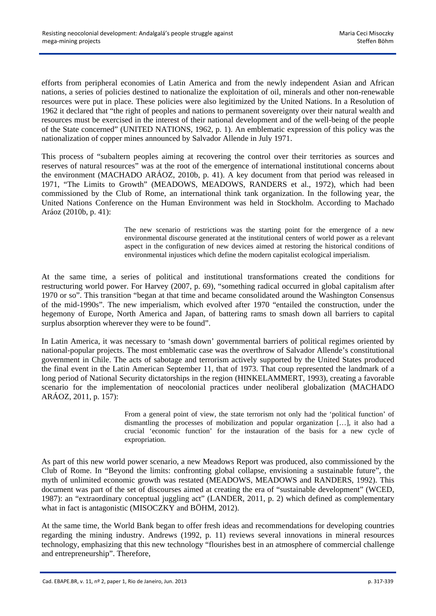efforts from peripheral economies of Latin America and from the newly independent Asian and African nations, a series of policies destined to nationalize the exploitation of oil, minerals and other non-renewable resources were put in place. These policies were also legitimized by the United Nations. In a Resolution of 1962 it declared that "the right of peoples and nations to permanent sovereignty over their natural wealth and resources must be exercised in the interest of their national development and of the well-being of the people of the State concerned" (UNITED NATIONS, 1962, p. 1). An emblematic expression of this policy was the nationalization of copper mines announced by Salvador Allende in July 1971.

This process of "subaltern peoples aiming at recovering the control over their territories as sources and reserves of natural resources" was at the root of the emergence of international institutional concerns about the environment (MACHADO ARÁOZ, 2010b, p. 41). A key document from that period was released in 1971, "The Limits to Growth" (MEADOWS, MEADOWS, RANDERS et al., 1972), which had been commissioned by the Club of Rome, an international think tank organization. In the following year, the United Nations Conference on the Human Environment was held in Stockholm. According to Machado Aráoz (2010b, p. 41):

> The new scenario of restrictions was the starting point for the emergence of a new environmental discourse generated at the institutional centers of world power as a relevant aspect in the configuration of new devices aimed at restoring the historical conditions of environmental injustices which define the modern capitalist ecological imperialism.

At the same time, a series of political and institutional transformations created the conditions for restructuring world power. For Harvey (2007, p. 69), "something radical occurred in global capitalism after 1970 or so". This transition "began at that time and became consolidated around the Washington Consensus of the mid-1990s". The new imperialism, which evolved after 1970 "entailed the construction, under the hegemony of Europe, North America and Japan, of battering rams to smash down all barriers to capital surplus absorption wherever they were to be found".

In Latin America, it was necessary to 'smash down' governmental barriers of political regimes oriented by national-popular projects. The most emblematic case was the overthrow of Salvador Allende's constitutional government in Chile. The acts of sabotage and terrorism actively supported by the United States produced the final event in the Latin American September 11, that of 1973. That coup represented the landmark of a long period of National Security dictatorships in the region (HINKELAMMERT, 1993), creating a favorable scenario for the implementation of neocolonial practices under neoliberal globalization (MACHADO ARÁOZ, 2011, p. 157):

> From a general point of view, the state terrorism not only had the 'political function' of dismantling the processes of mobilization and popular organization […], it also had a crucial 'economic function' for the instauration of the basis for a new cycle of expropriation.

As part of this new world power scenario, a new Meadows Report was produced, also commissioned by the Club of Rome. In "Beyond the limits: confronting global collapse, envisioning a sustainable future", the myth of unlimited economic growth was restated (MEADOWS, MEADOWS and RANDERS, 1992). This document was part of the set of discourses aimed at creating the era of "sustainable development" (WCED, 1987): an "extraordinary conceptual juggling act" (LANDER, 2011, p. 2) which defined as complementary what in fact is antagonistic (MISOCZKY and BÖHM, 2012).

At the same time, the World Bank began to offer fresh ideas and recommendations for developing countries regarding the mining industry. Andrews (1992, p. 11) reviews several innovations in mineral resources technology, emphasizing that this new technology "flourishes best in an atmosphere of commercial challenge and entrepreneurship". Therefore,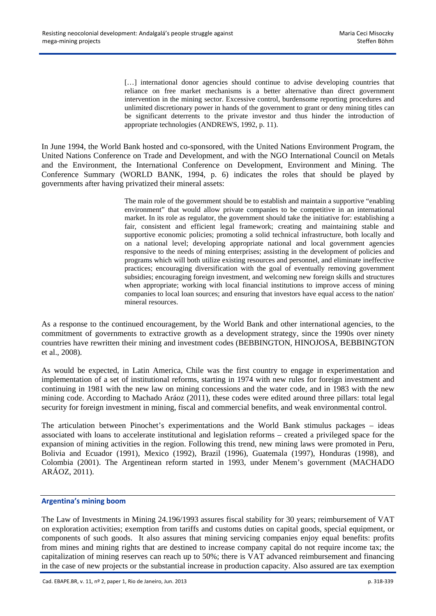[...] international donor agencies should continue to advise developing countries that reliance on free market mechanisms is a better alternative than direct government intervention in the mining sector. Excessive control, burdensome reporting procedures and unlimited discretionary power in hands of the government to grant or deny mining titles can be significant deterrents to the private investor and thus hinder the introduction of appropriate technologies (ANDREWS, 1992, p. 11).

In June 1994, the World Bank hosted and co-sponsored, with the United Nations Environment Program, the United Nations Conference on Trade and Development, and with the NGO International Council on Metals and the Environment, the International Conference on Development, Environment and Mining. The Conference Summary (WORLD BANK, 1994, p. 6) indicates the roles that should be played by governments after having privatized their mineral assets:

> The main role of the government should be to establish and maintain a supportive "enabling environment" that would allow private companies to be competitive in an international market. In its role as regulator, the government should take the initiative for: establishing a fair, consistent and efficient legal framework; creating and maintaining stable and supportive economic policies; promoting a solid technical infrastructure, both locally and on a national level; developing appropriate national and local government agencies responsive to the needs of mining enterprises; assisting in the development of policies and programs which will both utilize existing resources and personnel, and eliminate ineffective practices; encouraging diversification with the goal of eventually removing government subsidies; encouraging foreign investment, and welcoming new foreign skills and structures when appropriate; working with local financial institutions to improve access of mining companies to local loan sources; and ensuring that investors have equal access to the nation' mineral resources.

As a response to the continued encouragement, by the World Bank and other international agencies, to the commitment of governments to extractive growth as a development strategy, since the 1990s over ninety countries have rewritten their mining and investment codes (BEBBINGTON, HINOJOSA, BEBBINGTON et al., 2008).

As would be expected, in Latin America, Chile was the first country to engage in experimentation and implementation of a set of institutional reforms, starting in 1974 with new rules for foreign investment and continuing in 1981 with the new law on mining concessions and the water code, and in 1983 with the new mining code. According to Machado Aráoz (2011), these codes were edited around three pillars: total legal security for foreign investment in mining, fiscal and commercial benefits, and weak environmental control.

The articulation between Pinochet's experimentations and the World Bank stimulus packages – ideas associated with loans to accelerate institutional and legislation reforms – created a privileged space for the expansion of mining activities in the region. Following this trend, new mining laws were promoted in Peru, Bolivia and Ecuador (1991), Mexico (1992), Brazil (1996), Guatemala (1997), Honduras (1998), and Colombia (2001). The Argentinean reform started in 1993, under Menem's government (MACHADO ARÁOZ, 2011).

# **Argentina's mining boom**

The Law of Investments in Mining 24.196/1993 assures fiscal stability for 30 years; reimbursement of VAT on exploration activities; exemption from tariffs and customs duties on capital goods, special equipment, or components of such goods. It also assures that mining servicing companies enjoy equal benefits: profits from mines and mining rights that are destined to increase company capital do not require income tax; the capitalization of mining reserves can reach up to 50%; there is VAT advanced reimbursement and financing in the case of new projects or the substantial increase in production capacity. Also assured are tax exemption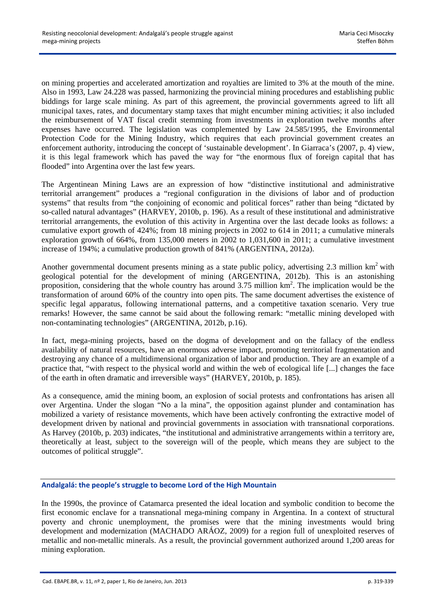on mining properties and accelerated amortization and royalties are limited to 3% at the mouth of the mine. Also in 1993, Law 24.228 was passed, harmonizing the provincial mining procedures and establishing public biddings for large scale mining. As part of this agreement, the provincial governments agreed to lift all municipal taxes, rates, and documentary stamp taxes that might encumber mining activities; it also included the reimbursement of VAT fiscal credit stemming from investments in exploration twelve months after expenses have occurred. The legislation was complemented by Law 24.585/1995, the Environmental Protection Code for the Mining Industry, which requires that each provincial government creates an enforcement authority, introducing the concept of 'sustainable development'. In Giarraca's (2007, p. 4) view, it is this legal framework which has paved the way for "the enormous flux of foreign capital that has flooded" into Argentina over the last few years.

The Argentinean Mining Laws are an expression of how "distinctive institutional and administrative territorial arrangement" produces a "regional configuration in the divisions of labor and of production systems" that results from "the conjoining of economic and political forces" rather than being "dictated by so-called natural advantages" (HARVEY, 2010b, p. 196). As a result of these institutional and administrative territorial arrangements, the evolution of this activity in Argentina over the last decade looks as follows: a cumulative export growth of 424%; from 18 mining projects in 2002 to 614 in 2011; a cumulative minerals exploration growth of 664%, from 135,000 meters in 2002 to 1,031,600 in 2011; a cumulative investment increase of 194%; a cumulative production growth of 841% (ARGENTINA, 2012a).

Another governmental document presents mining as a state public policy, advertising  $2.3$  million km<sup>2</sup> with geological potential for the development of mining (ARGENTINA, 2012b). This is an astonishing proposition, considering that the whole country has around 3.75 million km<sup>2</sup>. The implication would be the transformation of around 60% of the country into open pits. The same document advertises the existence of specific legal apparatus, following international patterns, and a competitive taxation scenario. Very true remarks! However, the same cannot be said about the following remark: "metallic mining developed with non-contaminating technologies" (ARGENTINA, 2012b, p.16).

In fact, mega-mining projects, based on the dogma of development and on the fallacy of the endless availability of natural resources, have an enormous adverse impact, promoting territorial fragmentation and destroying any chance of a multidimensional organization of labor and production. They are an example of a practice that, "with respect to the physical world and within the web of ecological life [...] changes the face of the earth in often dramatic and irreversible ways" (HARVEY, 2010b, p. 185).

As a consequence, amid the mining boom, an explosion of social protests and confrontations has arisen all over Argentina. Under the slogan "No a la mina", the opposition against plunder and contamination has mobilized a variety of resistance movements, which have been actively confronting the extractive model of development driven by national and provincial governments in association with transnational corporations. As Harvey (2010b, p. 203) indicates, "the institutional and administrative arrangements within a territory are, theoretically at least, subject to the sovereign will of the people, which means they are subject to the outcomes of political struggle".

# **Andalgalá: the people's struggle to become Lord of the High Mountain**

In the 1990s, the province of Catamarca presented the ideal location and symbolic condition to become the first economic enclave for a transnational mega-mining company in Argentina. In a context of structural poverty and chronic unemployment, the promises were that the mining investments would bring development and modernization (MACHADO ARÁOZ, 2009) for a region full of unexploited reserves of metallic and non-metallic minerals. As a result, the provincial government authorized around 1,200 areas for mining exploration.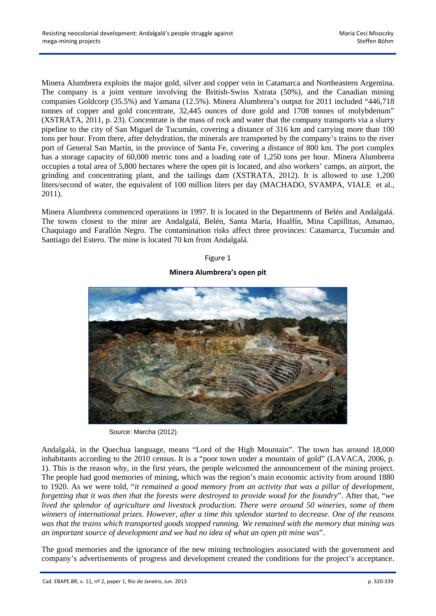Minera Alumbrera exploits the major gold, silver and copper vein in Catamarca and Northeastern Argentina. The company is a joint venture involving the British-Swiss Xstrata (50%), and the Canadian mining companies Goldcorp (35.5%) and Yamana (12.5%). Minera Alumbrera's output for 2011 included "446,718 tonnes of copper and gold concentrate, 32,445 ounces of dore gold and 1708 tonnes of molybdenum" (XSTRATA, 2011, p. 23). Concentrate is the mass of rock and water that the company transports via a slurry pipeline to the city of San Miguel de Tucumán, covering a distance of 316 km and carrying more than 100 tons per hour. From there, after dehydration, the minerals are transported by the company's trains to the river port of General San Martín, in the province of Santa Fe, covering a distance of 800 km. The port complex has a storage capacity of 60,000 metric tons and a loading rate of 1,250 tons per hour. Minera Alumbrera occupies a total area of 5,800 hectares where the open pit is located, and also workers' camps, an airport, the grinding and concentrating plant, and the tailings dam (XSTRATA, 2012). It is allowed to use 1,200 liters/second of water, the equivalent of 100 million liters per day (MACHADO, SVAMPA, VIALE et al., 2011).

Minera Alumbrera commenced operations in 1997. It is located in the Departments of Belén and Andalgalá. The towns closest to the mine are Andalgalá, Belén, Santa María, Hualfín, Mina Capillitas, Amanao, Chaquiago and Farallón Negro. The contamination risks affect three provinces: Catamarca, Tucumán and Santiago del Estero. The mine is located 70 km from Andalgalá.

#### Figure 1

## **Minera Alumbrera's open pit**



Source: Marcha (2012).

Andalgalá, in the Quechua language, means "Lord of the High Mountain". The town has around 18,000 inhabitants according to the 2010 census. It is a "poor town under a mountain of gold" (LAVACA, 2006, p. 1). This is the reason why, in the first years, the people welcomed the announcement of the mining project. The people had good memories of mining, which was the region's main economic activity from around 1880 to 1920. As we were told, "*it remained a good memory from an activity that was a pillar of development, forgetting that it was then that the forests were destroyed to provide wood for the foundry*". After that, "*we lived the splendor of agriculture and livestock production. There were around 50 wineries, some of them winners of international prizes. However, after a time this splendor started to decrease. One of the reasons was that the trains which transported goods stopped running. We remained with the memory that mining was an important source of development and we had no idea of what an open pit mine was*".

The good memories and the ignorance of the new mining technologies associated with the government and company's advertisements of progress and development created the conditions for the project's acceptance.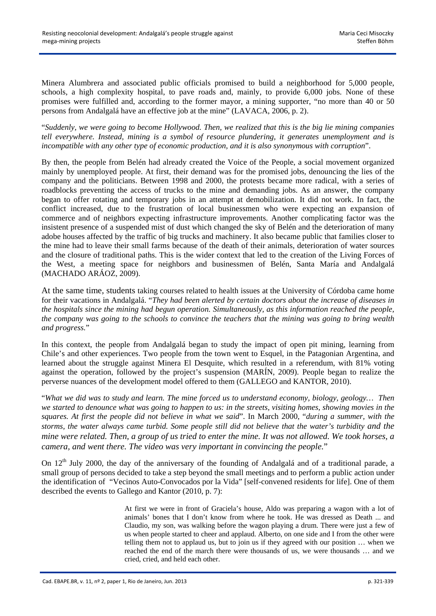Minera Alumbrera and associated public officials promised to build a neighborhood for 5,000 people, schools, a high complexity hospital, to pave roads and, mainly, to provide 6,000 jobs. None of these promises were fulfilled and, according to the former mayor, a mining supporter, "no more than 40 or 50 persons from Andalgalá have an effective job at the mine" (LAVACA, 2006, p. 2).

"*Suddenly, we were going to become Hollywood. Then, we realized that this is the big lie mining companies tell everywhere. Instead, mining is a symbol of resource plundering, it generates unemployment and is incompatible with any other type of economic production, and it is also synonymous with corruption*".

By then, the people from Belén had already created the Voice of the People, a social movement organized mainly by unemployed people. At first, their demand was for the promised jobs, denouncing the lies of the company and the politicians. Between 1998 and 2000, the protests became more radical, with a series of roadblocks preventing the access of trucks to the mine and demanding jobs. As an answer, the company began to offer rotating and temporary jobs in an attempt at demobilization. It did not work. In fact, the conflict increased, due to the frustration of local businessmen who were expecting an expansion of commerce and of neighbors expecting infrastructure improvements. Another complicating factor was the insistent presence of a suspended mist of dust which changed the sky of Belén and the deterioration of many adobe houses affected by the traffic of big trucks and machinery. It also became public that families closer to the mine had to leave their small farms because of the death of their animals, deterioration of water sources and the closure of traditional paths. This is the wider context that led to the creation of the Living Forces of the West, a meeting space for neighbors and businessmen of Belén, Santa María and Andalgalá (MACHADO ARÁOZ, 2009).

At the same time, students taking courses related to health issues at the University of Córdoba came home for their vacations in Andalgalá. "*They had been alerted by certain doctors about the increase of diseases in the hospitals since the mining had begun operation. Simultaneously, as this information reached the people, the company was going to the schools to convince the teachers that the mining was going to bring wealth and progress.*"

In this context, the people from Andalgalá began to study the impact of open pit mining, learning from Chile's and other experiences. Two people from the town went to Esquel, in the Patagonian Argentina, and learned about the struggle against Minera El Desquite, which resulted in a referendum, with 81% voting against the operation, followed by the project's suspension (MARÍN, 2009). People began to realize the perverse nuances of the development model offered to them (GALLEGO and KANTOR, 2010).

"*What we did was to study and learn. The mine forced us to understand economy, biology, geology… Then we started to denounce what was going to happen to us: in the streets, visiting homes, showing movies in the squares. At first the people did not believe in what we said*". In March 2000, "*during a summer, with the storms, the water always came turbid. Some people still did not believe that the water's turbidity and the mine were related. Then, a group of us tried to enter the mine. It was not allowed. We took horses, a camera, and went there. The video was very important in convincing the people.*"

On 12<sup>th</sup> July 2000, the day of the anniversary of the founding of Andalgalá and of a traditional parade, a small group of persons decided to take a step beyond the small meetings and to perform a public action under the identification of "Vecinos Auto-Convocados por la Vida" [self-convened residents for life]. One of them described the events to Gallego and Kantor (2010, p. 7):

> At first we were in front of Graciela's house, Aldo was preparing a wagon with a lot of animals' bones that I don't know from where he took. He was dressed as Death ... and Claudio, my son, was walking before the wagon playing a drum. There were just a few of us when people started to cheer and applaud. Alberto, on one side and I from the other were telling them not to applaud us, but to join us if they agreed with our position … when we reached the end of the march there were thousands of us, we were thousands … and we cried, cried, and held each other.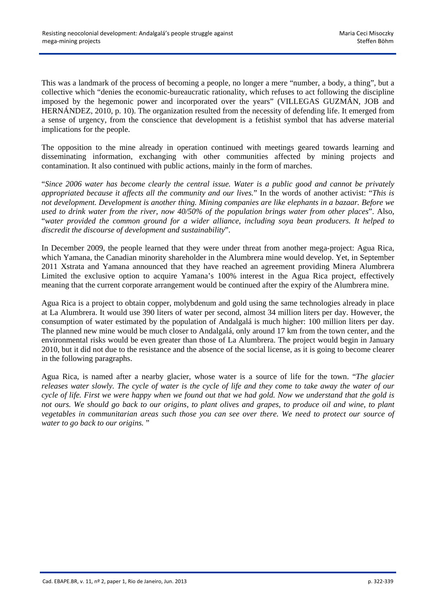This was a landmark of the process of becoming a people, no longer a mere "number, a body, a thing", but a collective which "denies the economic-bureaucratic rationality, which refuses to act following the discipline imposed by the hegemonic power and incorporated over the years" (VILLEGAS GUZMÁN, JOB and HERNÁNDEZ, 2010, p. 10). The organization resulted from the necessity of defending life. It emerged from a sense of urgency, from the conscience that development is a fetishist symbol that has adverse material implications for the people.

The opposition to the mine already in operation continued with meetings geared towards learning and disseminating information, exchanging with other communities affected by mining projects and contamination. It also continued with public actions, mainly in the form of marches.

"*Since 2006 water has become clearly the central issue. Water is a public good and cannot be privately appropriated because it affects all the community and our lives.*" In the words of another activist: "*This is not development. Development is another thing. Mining companies are like elephants in a bazaar. Before we used to drink water from the river, now 40/50% of the population brings water from other places*". Also, "*water provided the common ground for a wider alliance, including soya bean producers. It helped to discredit the discourse of development and sustainability*".

In December 2009, the people learned that they were under threat from another mega-project: Agua Rica, which Yamana, the Canadian minority shareholder in the Alumbrera mine would develop. Yet, in September 2011 Xstrata and Yamana announced that they have reached an agreement providing Minera Alumbrera Limited the exclusive option to acquire Yamana's 100% interest in the Agua Rica project, effectively meaning that the current corporate arrangement would be continued after the expiry of the Alumbrera mine.

Agua Rica is a project to obtain copper, molybdenum and gold using the same technologies already in place at La Alumbrera. It would use 390 liters of water per second, almost 34 million liters per day. However, the consumption of water estimated by the population of Andalgalá is much higher: 100 million liters per day. The planned new mine would be much closer to Andalgalá, only around 17 km from the town center, and the environmental risks would be even greater than those of La Alumbrera. The project would begin in January 2010, but it did not due to the resistance and the absence of the social license, as it is going to become clearer in the following paragraphs.

Agua Rica, is named after a nearby glacier, whose water is a source of life for the town. "*The glacier releases water slowly. The cycle of water is the cycle of life and they come to take away the water of our cycle of life. First we were happy when we found out that we had gold. Now we understand that the gold is not ours. We should go back to our origins, to plant olives and grapes, to produce oil and wine, to plant vegetables in communitarian areas such those you can see over there. We need to protect our source of water to go back to our origins.* "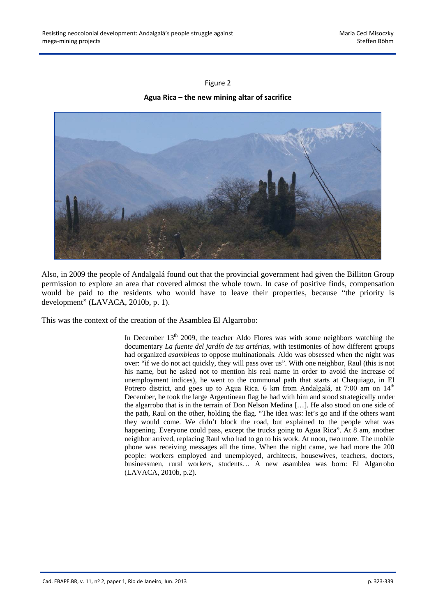## Figure 2

## **Agua Rica – the new mining altar of sacrifice**



Also, in 2009 the people of Andalgalá found out that the provincial government had given the Billiton Group permission to explore an area that covered almost the whole town. In case of positive finds, compensation would be paid to the residents who would have to leave their properties, because "the priority is development" (LAVACA, 2010b, p. 1).

This was the context of the creation of the Asamblea El Algarrobo:

In December  $13<sup>th</sup>$  2009, the teacher Aldo Flores was with some neighbors watching the documentary *La fuente del jardín de tus artérias*, with testimonies of how different groups had organized *asambleas* to oppose multinationals. Aldo was obsessed when the night was over: "if we do not act quickly, they will pass over us". With one neighbor, Raul (this is not his name, but he asked not to mention his real name in order to avoid the increase of unemployment indices), he went to the communal path that starts at Chaquiago, in El Potrero district, and goes up to Agua Rica. 6 km from Andalgalá, at 7:00 am on 14<sup>th</sup> December, he took the large Argentinean flag he had with him and stood strategically under the algarrobo that is in the terrain of Don Nelson Medina […]. He also stood on one side of the path, Raul on the other, holding the flag. "The idea was: let's go and if the others want they would come. We didn't block the road, but explained to the people what was happening. Everyone could pass, except the trucks going to Agua Rica". At 8 am, another neighbor arrived, replacing Raul who had to go to his work. At noon, two more. The mobile phone was receiving messages all the time. When the night came, we had more the 200 people: workers employed and unemployed, architects, housewives, teachers, doctors, businessmen, rural workers, students… A new asamblea was born: El Algarrobo (LAVACA, 2010b, p.2).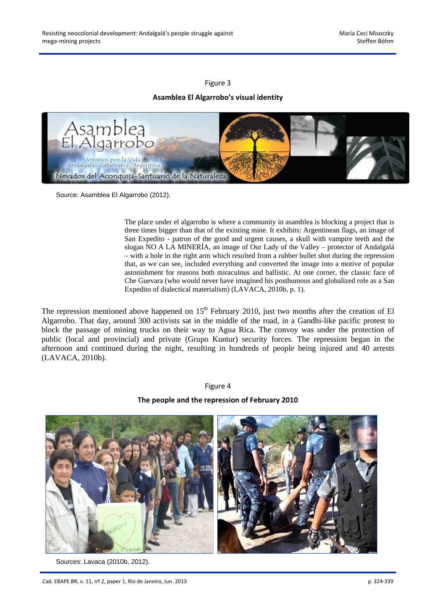#### Figure 3

## **Asamblea El Algarrobo's visual identity**



Source: Asamblea El Algarrobo (2012).

The place under el algarrobo is where a community in asamblea is blocking a project that is three times bigger than that of the existing mine. It exhibits: Argentinean flags, an image of San Expedito - patron of the good and urgent causes, a skull with vampire teeth and the slogan NO A LA MINERÍA, an image of Our Lady of the Valley – protector of Andalgalá – with a hole in the right arm which resulted from a rubber bullet shot during the repression that, as we can see, included everything and converted the image into a motive of popular astonishment for reasons both miraculous and ballistic. At one corner, the classic face of Che Guevara (who would never have imagined his posthumous and globalized role as a San Expedito of dialectical materialism) (LAVACA, 2010b, p. 1).

The repression mentioned above happened on  $15<sup>th</sup>$  February 2010, just two months after the creation of El Algarrobo. That day, around 300 activists sat in the middle of the road, in a Gandhi-like pacific protest to block the passage of mining trucks on their way to Agua Rica. The convoy was under the protection of public (local and provincial) and private (Grupo Kuntur) security forces. The repression began in the afternoon and continued during the night, resulting in hundreds of people being injured and 40 arrests (LAVACA, 2010b).

#### Figure 4

#### **The people and the repression of February 2010**



Sources: Lavaca (2010b, 2012).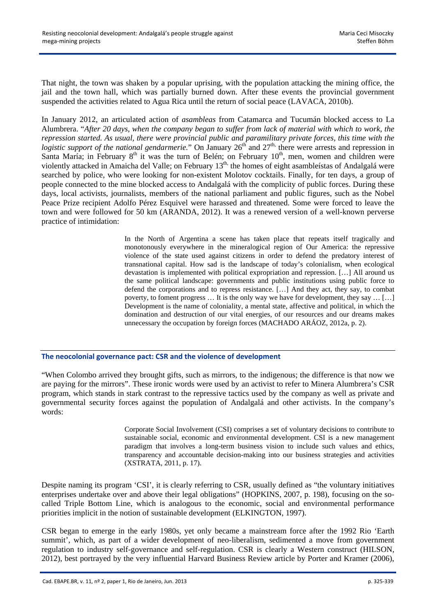That night, the town was shaken by a popular uprising, with the population attacking the mining office, the jail and the town hall, which was partially burned down. After these events the provincial government suspended the activities related to Agua Rica until the return of social peace (LAVACA, 2010b).

In January 2012, an articulated action of *asambleas* from Catamarca and Tucumán blocked access to La Alumbrera. "*After 20 days, when the company began to suffer from lack of material with which to work, the repression started. As usual, there were provincial public and paramilitary private forces, this time with the logistic support of the national gendarmerie.*" On January 26<sup>th</sup> and 27<sup>th,</sup> there were arrests and repression in Santa María; in February  $8<sup>th</sup>$  it was the turn of Belén; on February  $10<sup>th</sup>$ , men, women and children were violently attacked in Amaicha del Valle; on February 13<sup>th,</sup> the homes of eight asambleístas of Andalgalá were searched by police, who were looking for non-existent Molotov cocktails. Finally, for ten days, a group of people connected to the mine blocked access to Andalgalá with the complicity of public forces. During these days, local activists, journalists, members of the national parliament and public figures, such as the Nobel Peace Prize recipient Adolfo Pérez Esquivel were harassed and threatened. Some were forced to leave the town and were followed for 50 km (ARANDA, 2012). It was a renewed version of a well-known perverse practice of intimidation:

> In the North of Argentina a scene has taken place that repeats itself tragically and monotonously everywhere in the mineralogical region of Our America: the repressive violence of the state used against citizens in order to defend the predatory interest of transnational capital. How sad is the landscape of today's colonialism, when ecological devastation is implemented with political expropriation and repression. […] All around us the same political landscape: governments and public institutions using public force to defend the corporations and to repress resistance. […] And they act, they say, to combat poverty, to foment progress … It is the only way we have for development, they say … […] Development is the name of coloniality, a mental state, affective and political, in which the domination and destruction of our vital energies, of our resources and our dreams makes unnecessary the occupation by foreign forces (MACHADO ARÁOZ, 2012a, p. 2).

**The neocolonial governance pact: CSR and the violence of development** 

"When Colombo arrived they brought gifts, such as mirrors, to the indigenous; the difference is that now we are paying for the mirrors". These ironic words were used by an activist to refer to Minera Alumbrera's CSR program, which stands in stark contrast to the repressive tactics used by the company as well as private and governmental security forces against the population of Andalgalá and other activists. In the company's words:

> Corporate Social Involvement (CSI) comprises a set of voluntary decisions to contribute to sustainable social, economic and environmental development. CSI is a new management paradigm that involves a long-term business vision to include such values and ethics, transparency and accountable decision-making into our business strategies and activities (XSTRATA, 2011, p. 17).

Despite naming its program 'CSI', it is clearly referring to CSR, usually defined as "the voluntary initiatives enterprises undertake over and above their legal obligations" (HOPKINS, 2007, p. 198), focusing on the socalled Triple Bottom Line, which is analogous to the economic, social and environmental performance priorities implicit in the notion of sustainable development (ELKINGTON, 1997).

CSR began to emerge in the early 1980s, yet only became a mainstream force after the 1992 Rio 'Earth summit', which, as part of a wider development of neo-liberalism, sedimented a move from government regulation to industry self-governance and self-regulation. CSR is clearly a Western construct (HILSON, 2012), best portrayed by the very influential Harvard Business Review article by Porter and Kramer (2006),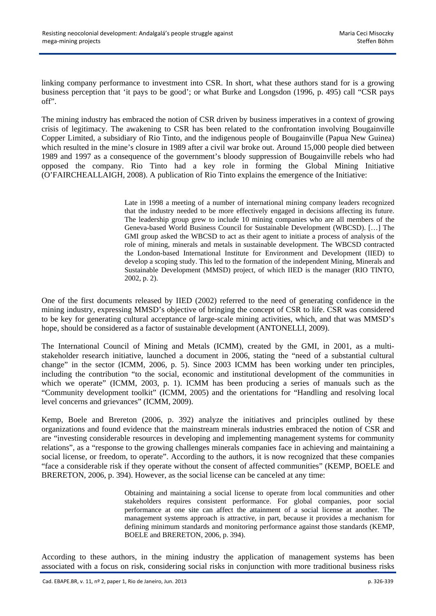linking company performance to investment into CSR. In short, what these authors stand for is a growing business perception that 'it pays to be good'; or what Burke and Longsdon (1996, p. 495) call "CSR pays off".

The mining industry has embraced the notion of CSR driven by business imperatives in a context of growing crisis of legitimacy. The awakening to CSR has been related to the confrontation involving Bougainville Copper Limited, a subsidiary of Rio Tinto, and the indigenous people of Bougainville (Papua New Guinea) which resulted in the mine's closure in 1989 after a civil war broke out. Around 15,000 people died between 1989 and 1997 as a consequence of the government's bloody suppression of Bougainville rebels who had opposed the company. Rio Tinto had a key role in forming the Global Mining Initiative (O'FAIRCHEALLAIGH, 2008). A publication of Rio Tinto explains the emergence of the Initiative:

> Late in 1998 a meeting of a number of international mining company leaders recognized that the industry needed to be more effectively engaged in decisions affecting its future. The leadership group grew to include 10 mining companies who are all members of the Geneva-based World Business Council for Sustainable Development (WBCSD). […] The GMI group asked the WBCSD to act as their agent to initiate a process of analysis of the role of mining, minerals and metals in sustainable development. The WBCSD contracted the London-based International Institute for Environment and Development (IIED) to develop a scoping study. This led to the formation of the independent Mining, Minerals and Sustainable Development (MMSD) project, of which IIED is the manager (RIO TINTO, 2002, p. 2).

One of the first documents released by IIED (2002) referred to the need of generating confidence in the mining industry, expressing MMSD's objective of bringing the concept of CSR to life. CSR was considered to be key for generating cultural acceptance of large-scale mining activities, which, and that was MMSD's hope, should be considered as a factor of sustainable development (ANTONELLI, 2009).

The International Council of Mining and Metals (ICMM), created by the GMI, in 2001, as a multistakeholder research initiative, launched a document in 2006, stating the "need of a substantial cultural change" in the sector (ICMM, 2006, p. 5). Since 2003 ICMM has been working under ten principles, including the contribution "to the social, economic and institutional development of the communities in which we operate" (ICMM, 2003, p. 1). ICMM has been producing a series of manuals such as the "Community development toolkit" (ICMM, 2005) and the orientations for "Handling and resolving local level concerns and grievances" (ICMM, 2009).

Kemp, Boele and Brereton (2006, p. 392) analyze the initiatives and principles outlined by these organizations and found evidence that the mainstream minerals industries embraced the notion of CSR and are "investing considerable resources in developing and implementing management systems for community relations", as a "response to the growing challenges minerals companies face in achieving and maintaining a social license, or freedom, to operate". According to the authors, it is now recognized that these companies "face a considerable risk if they operate without the consent of affected communities" (KEMP, BOELE and BRERETON, 2006, p. 394). However, as the social license can be canceled at any time:

> Obtaining and maintaining a social license to operate from local communities and other stakeholders requires consistent performance. For global companies, poor social performance at one site can affect the attainment of a social license at another. The management systems approach is attractive, in part, because it provides a mechanism for defining minimum standards and monitoring performance against those standards (KEMP, BOELE and BRERETON, 2006, p. 394).

According to these authors, in the mining industry the application of management systems has been associated with a focus on risk, considering social risks in conjunction with more traditional business risks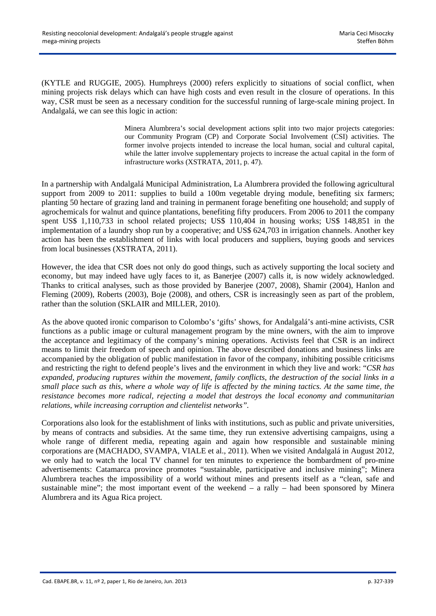(KYTLE and RUGGIE, 2005). Humphreys (2000) refers explicitly to situations of social conflict, when mining projects risk delays which can have high costs and even result in the closure of operations. In this way, CSR must be seen as a necessary condition for the successful running of large-scale mining project. In Andalgalá, we can see this logic in action:

> Minera Alumbrera's social development actions split into two major projects categories: our Community Program (CP) and Corporate Social Involvement (CSI) activities. The former involve projects intended to increase the local human, social and cultural capital, while the latter involve supplementary projects to increase the actual capital in the form of infrastructure works (XSTRATA, 2011, p. 47).

In a partnership with Andalgalá Municipal Administration, La Alumbrera provided the following agricultural support from 2009 to 2011: supplies to build a 100m vegetable drying module, benefiting six farmers; planting 50 hectare of grazing land and training in permanent forage benefiting one household; and supply of agrochemicals for walnut and quince plantations, benefiting fifty producers. From 2006 to 2011 the company spent US\$ 1,110,733 in school related projects; US\$ 110,404 in housing works; US\$ 148,851 in the implementation of a laundry shop run by a cooperative; and US\$ 624,703 in irrigation channels. Another key action has been the establishment of links with local producers and suppliers, buying goods and services from local businesses (XSTRATA, 2011).

However, the idea that CSR does not only do good things, such as actively supporting the local society and economy, but may indeed have ugly faces to it, as Banerjee (2007) calls it, is now widely acknowledged. Thanks to critical analyses, such as those provided by Banerjee (2007, 2008), Shamir (2004), Hanlon and Fleming (2009), Roberts (2003), Boje (2008), and others, CSR is increasingly seen as part of the problem, rather than the solution (SKLAIR and MILLER, 2010).

As the above quoted ironic comparison to Colombo's 'gifts' shows, for Andalgalá's anti-mine activists, CSR functions as a public image or cultural management program by the mine owners, with the aim to improve the acceptance and legitimacy of the company's mining operations. Activists feel that CSR is an indirect means to limit their freedom of speech and opinion. The above described donations and business links are accompanied by the obligation of public manifestation in favor of the company, inhibiting possible criticisms and restricting the right to defend people's lives and the environment in which they live and work: "*CSR has expanded, producing ruptures within the movement, family conflicts, the destruction of the social links in a small place such as this, where a whole way of life is affected by the mining tactics. At the same time, the resistance becomes more radical, rejecting a model that destroys the local economy and communitarian relations, while increasing corruption and clientelist networks".* 

Corporations also look for the establishment of links with institutions, such as public and private universities, by means of contracts and subsidies. At the same time, they run extensive advertising campaigns, using a whole range of different media, repeating again and again how responsible and sustainable mining corporations are (MACHADO, SVAMPA, VIALE et al., 2011). When we visited Andalgalá in August 2012, we only had to watch the local TV channel for ten minutes to experience the bombardment of pro-mine advertisements: Catamarca province promotes "sustainable, participative and inclusive mining"; Minera Alumbrera teaches the impossibility of a world without mines and presents itself as a "clean, safe and sustainable mine"; the most important event of the weekend – a rally – had been sponsored by Minera Alumbrera and its Agua Rica project.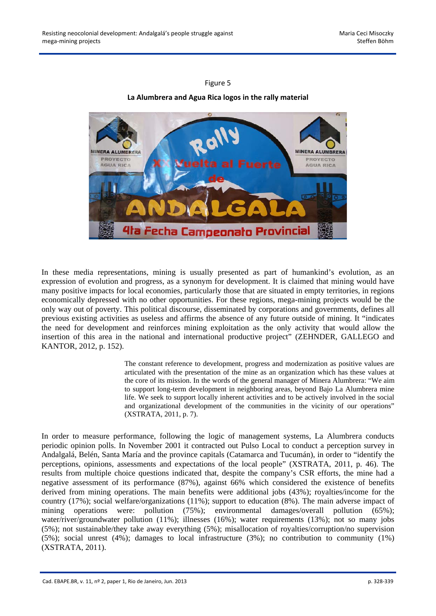## Figure 5

# **La Alumbrera and Agua Rica logos in the rally material**



In these media representations, mining is usually presented as part of humankind's evolution, as an expression of evolution and progress, as a synonym for development. It is claimed that mining would have many positive impacts for local economies, particularly those that are situated in empty territories, in regions economically depressed with no other opportunities. For these regions, mega-mining projects would be the only way out of poverty. This political discourse, disseminated by corporations and governments, defines all previous existing activities as useless and affirms the absence of any future outside of mining. It "indicates the need for development and reinforces mining exploitation as the only activity that would allow the insertion of this area in the national and international productive project" (ZEHNDER, GALLEGO and KANTOR, 2012, p. 152).

> The constant reference to development, progress and modernization as positive values are articulated with the presentation of the mine as an organization which has these values at the core of its mission. In the words of the general manager of Minera Alumbrera: "We aim to support long-term development in neighboring areas, beyond Bajo La Alumbrera mine life. We seek to support locally inherent activities and to be actively involved in the social and organizational development of the communities in the vicinity of our operations" (XSTRATA, 2011, p. 7).

In order to measure performance, following the logic of management systems, La Alumbrera conducts periodic opinion polls. In November 2001 it contracted out Pulso Local to conduct a perception survey in Andalgalá, Belén, Santa María and the province capitals (Catamarca and Tucumán), in order to "identify the perceptions, opinions, assessments and expectations of the local people" (XSTRATA, 2011, p. 46). The results from multiple choice questions indicated that, despite the company's CSR efforts, the mine had a negative assessment of its performance (87%), against 66% which considered the existence of benefits derived from mining operations. The main benefits were additional jobs (43%); royalties/income for the country (17%); social welfare/organizations (11%); support to education (8%). The main adverse impact of mining operations were: pollution (75%); environmental damages/overall pollution (65%); water/river/groundwater pollution (11%); illnesses (16%); water requirements (13%); not so many jobs (5%); not sustainable/they take away everything (5%); misallocation of royalties/corruption/no supervision (5%); social unrest (4%); damages to local infrastructure (3%); no contribution to community (1%) (XSTRATA, 2011).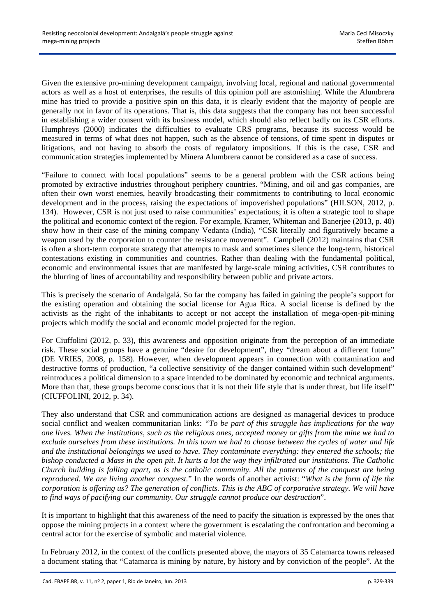Given the extensive pro-mining development campaign, involving local, regional and national governmental actors as well as a host of enterprises, the results of this opinion poll are astonishing. While the Alumbrera mine has tried to provide a positive spin on this data, it is clearly evident that the majority of people are generally not in favor of its operations. That is, this data suggests that the company has not been successful in establishing a wider consent with its business model, which should also reflect badly on its CSR efforts. Humphreys (2000) indicates the difficulties to evaluate CRS programs, because its success would be measured in terms of what does not happen, such as the absence of tensions, of time spent in disputes or litigations, and not having to absorb the costs of regulatory impositions. If this is the case, CSR and communication strategies implemented by Minera Alumbrera cannot be considered as a case of success.

"Failure to connect with local populations" seems to be a general problem with the CSR actions being promoted by extractive industries throughout periphery countries. "Mining, and oil and gas companies, are often their own worst enemies, heavily broadcasting their commitments to contributing to local economic development and in the process, raising the expectations of impoverished populations" (HILSON, 2012, p. 134). However, CSR is not just used to raise communities' expectations; it is often a strategic tool to shape the political and economic context of the region. For example, Kramer, Whiteman and Banerjee (2013, p. 40) show how in their case of the mining company Vedanta (India), "CSR literally and figuratively became a weapon used by the corporation to counter the resistance movement". Campbell (2012) maintains that CSR is often a short-term corporate strategy that attempts to mask and sometimes silence the long-term, historical contestations existing in communities and countries. Rather than dealing with the fundamental political, economic and environmental issues that are manifested by large-scale mining activities, CSR contributes to the blurring of lines of accountability and responsibility between public and private actors.

This is precisely the scenario of Andalgalá. So far the company has failed in gaining the people's support for the existing operation and obtaining the social license for Agua Rica. A social license is defined by the activists as the right of the inhabitants to accept or not accept the installation of mega-open-pit-mining projects which modify the social and economic model projected for the region.

For Ciuffolini (2012, p. 33), this awareness and opposition originate from the perception of an immediate risk. These social groups have a genuine "desire for development", they "dream about a different future" (DE VRIES, 2008, p. 158). However, when development appears in connection with contamination and destructive forms of production, "a collective sensitivity of the danger contained within such development" reintroduces a political dimension to a space intended to be dominated by economic and technical arguments. More than that, these groups become conscious that it is not their life style that is under threat, but life itself" (CIUFFOLINI, 2012, p. 34).

They also understand that CSR and communication actions are designed as managerial devices to produce social conflict and weaken communitarian links: *"To be part of this struggle has implications for the way one lives. When the institutions, such as the religious ones, accepted money or gifts from the mine we had to exclude ourselves from these institutions. In this town we had to choose between the cycles of water and life and the institutional belongings we used to have. They contaminate everything: they entered the schools; the bishop conducted a Mass in the open pit. It hurts a lot the way they infiltrated our institutions. The Catholic Church building is falling apart, as is the catholic community. All the patterns of the conquest are being reproduced. We are living another conquest.*" In the words of another activist: "*What is the form of life the corporation is offering us? The generation of conflicts. This is the ABC of corporative strategy. We will have to find ways of pacifying our community. Our struggle cannot produce our destruction*".

It is important to highlight that this awareness of the need to pacify the situation is expressed by the ones that oppose the mining projects in a context where the government is escalating the confrontation and becoming a central actor for the exercise of symbolic and material violence.

In February 2012, in the context of the conflicts presented above, the mayors of 35 Catamarca towns released a document stating that "Catamarca is mining by nature, by history and by conviction of the people". At the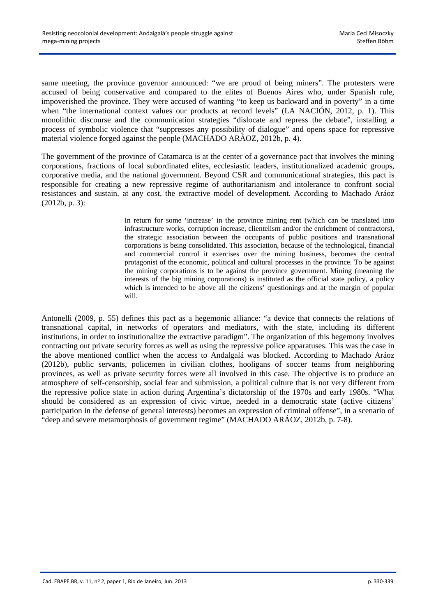same meeting, the province governor announced: "we are proud of being miners". The protesters were accused of being conservative and compared to the elites of Buenos Aires who, under Spanish rule, impoverished the province. They were accused of wanting "to keep us backward and in poverty" in a time when "the international context values our products at record levels" (LA NACIÓN, 2012, p. 1). This monolithic discourse and the communication strategies "dislocate and repress the debate", installing a process of symbolic violence that "suppresses any possibility of dialogue" and opens space for repressive material violence forged against the people (MACHADO ARÁOZ, 2012b, p. 4).

The government of the province of Catamarca is at the center of a governance pact that involves the mining corporations, fractions of local subordinated elites, ecclesiastic leaders, institutionalized academic groups, corporative media, and the national government. Beyond CSR and communicational strategies, this pact is responsible for creating a new repressive regime of authoritarianism and intolerance to confront social resistances and sustain, at any cost, the extractive model of development. According to Machado Aráoz (2012b, p. 3):

> In return for some 'increase' in the province mining rent (which can be translated into infrastructure works, corruption increase, clientelism and/or the enrichment of contractors), the strategic association between the occupants of public positions and transnational corporations is being consolidated. This association, because of the technological, financial and commercial control it exercises over the mining business, becomes the central protagonist of the economic, political and cultural processes in the province. To be against the mining corporations is to be against the province government. Mining (meaning the interests of the big mining corporations) is instituted as the official state policy, a policy which is intended to be above all the citizens' questionings and at the margin of popular will.

Antonelli (2009, p. 55) defines this pact as a hegemonic alliance: "a device that connects the relations of transnational capital, in networks of operators and mediators, with the state, including its different institutions, in order to institutionalize the extractive paradigm". The organization of this hegemony involves contracting out private security forces as well as using the repressive police apparatuses. This was the case in the above mentioned conflict when the access to Andalgalá was blocked. According to Machado Aráoz (2012b), public servants, policemen in civilian clothes, hooligans of soccer teams from neighboring provinces, as well as private security forces were all involved in this case. The objective is to produce an atmosphere of self-censorship, social fear and submission, a political culture that is not very different from the repressive police state in action during Argentina's dictatorship of the 1970s and early 1980s. "What should be considered as an expression of civic virtue, needed in a democratic state (active citizens' participation in the defense of general interests) becomes an expression of criminal offense", in a scenario of "deep and severe metamorphosis of government regime" (MACHADO ARÁOZ, 2012b, p. 7-8).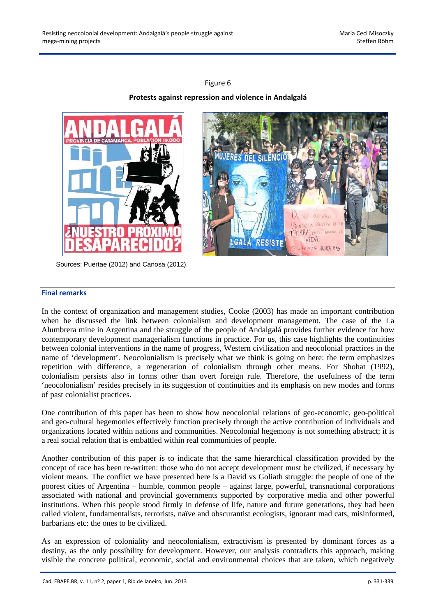## Figure 6

# **Protests against repression and violence in Andalgalá**



Sources: Puertae (2012) and Canosa (2012).



# **Final remarks**

In the context of organization and management studies, Cooke (2003) has made an important contribution when he discussed the link between colonialism and development management. The case of the La Alumbrera mine in Argentina and the struggle of the people of Andalgalá provides further evidence for how contemporary development managerialism functions in practice. For us, this case highlights the continuities between colonial interventions in the name of progress, Western civilization and neocolonial practices in the name of 'development'. Neocolonialism is precisely what we think is going on here: the term emphasizes repetition with difference, a regeneration of colonialism through other means. For Shohat (1992), colonialism persists also in forms other than overt foreign rule. Therefore, the usefulness of the term 'neocolonialism' resides precisely in its suggestion of continuities and its emphasis on new modes and forms of past colonialist practices.

One contribution of this paper has been to show how neocolonial relations of geo-economic, geo-political and geo-cultural hegemonies effectively function precisely through the active contribution of individuals and organizations located within nations and communities. Neocolonial hegemony is not something abstract; it is a real social relation that is embattled within real communities of people.

Another contribution of this paper is to indicate that the same hierarchical classification provided by the concept of race has been re-written: those who do not accept development must be civilized, if necessary by violent means. The conflict we have presented here is a David vs Goliath struggle: the people of one of the poorest cities of Argentina – humble, common people – against large, powerful, transnational corporations associated with national and provincial governments supported by corporative media and other powerful institutions. When this people stood firmly in defense of life, nature and future generations, they had been called violent, fundamentalists, terrorists, naïve and obscurantist ecologists, ignorant mad cats, misinformed, barbarians etc: the ones to be civilized.

As an expression of coloniality and neocolonialism, extractivism is presented by dominant forces as a destiny, as the only possibility for development. However, our analysis contradicts this approach, making visible the concrete political, economic, social and environmental choices that are taken, which negatively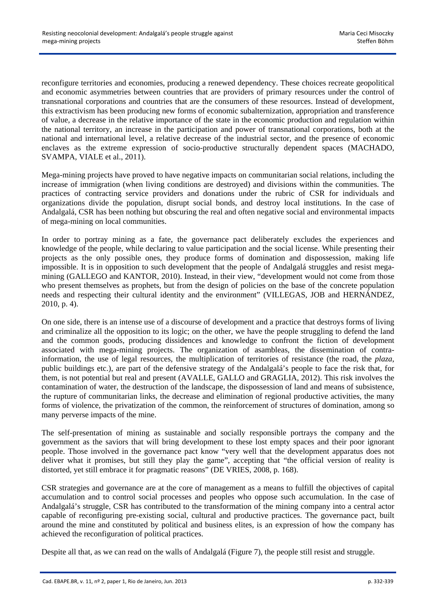reconfigure territories and economies, producing a renewed dependency. These choices recreate geopolitical and economic asymmetries between countries that are providers of primary resources under the control of transnational corporations and countries that are the consumers of these resources. Instead of development, this extractivism has been producing new forms of economic subalternization, appropriation and transference of value, a decrease in the relative importance of the state in the economic production and regulation within the national territory, an increase in the participation and power of transnational corporations, both at the national and international level, a relative decrease of the industrial sector, and the presence of economic enclaves as the extreme expression of socio-productive structurally dependent spaces (MACHADO, SVAMPA, VIALE et al., 2011).

Mega-mining projects have proved to have negative impacts on communitarian social relations, including the increase of immigration (when living conditions are destroyed) and divisions within the communities. The practices of contracting service providers and donations under the rubric of CSR for individuals and organizations divide the population, disrupt social bonds, and destroy local institutions. In the case of Andalgalá, CSR has been nothing but obscuring the real and often negative social and environmental impacts of mega-mining on local communities.

In order to portray mining as a fate, the governance pact deliberately excludes the experiences and knowledge of the people, while declaring to value participation and the social license. While presenting their projects as the only possible ones, they produce forms of domination and dispossession, making life impossible. It is in opposition to such development that the people of Andalgalá struggles and resist megamining (GALLEGO and KANTOR, 2010). Instead, in their view, "development would not come from those who present themselves as prophets, but from the design of policies on the base of the concrete population needs and respecting their cultural identity and the environment" (VILLEGAS, JOB and HERNÁNDEZ, 2010, p. 4).

On one side, there is an intense use of a discourse of development and a practice that destroys forms of living and criminalize all the opposition to its logic; on the other, we have the people struggling to defend the land and the common goods, producing dissidences and knowledge to confront the fiction of development associated with mega-mining projects. The organization of asambleas, the dissemination of contrainformation, the use of legal resources, the multiplication of territories of resistance (the road, the *plaza*, public buildings etc.), are part of the defensive strategy of the Andalgalá's people to face the risk that, for them, is not potential but real and present (AVALLE, GALLO and GRAGLIA, 2012). This risk involves the contamination of water, the destruction of the landscape, the dispossession of land and means of subsistence, the rupture of communitarian links, the decrease and elimination of regional productive activities, the many forms of violence, the privatization of the common, the reinforcement of structures of domination, among so many perverse impacts of the mine.

The self-presentation of mining as sustainable and socially responsible portrays the company and the government as the saviors that will bring development to these lost empty spaces and their poor ignorant people. Those involved in the governance pact know "very well that the development apparatus does not deliver what it promises, but still they play the game", accepting that "the official version of reality is distorted, yet still embrace it for pragmatic reasons" (DE VRIES, 2008, p. 168).

CSR strategies and governance are at the core of management as a means to fulfill the objectives of capital accumulation and to control social processes and peoples who oppose such accumulation. In the case of Andalgalá's struggle, CSR has contributed to the transformation of the mining company into a central actor capable of reconfiguring pre-existing social, cultural and productive practices. The governance pact, built around the mine and constituted by political and business elites, is an expression of how the company has achieved the reconfiguration of political practices.

Despite all that, as we can read on the walls of Andalgalá (Figure 7), the people still resist and struggle.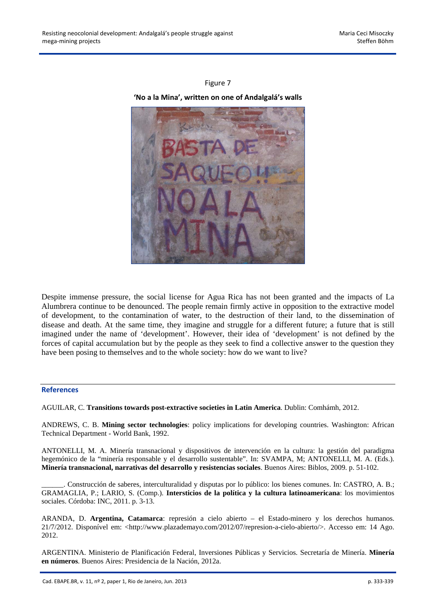## Figure 7

#### **'No a la Mina', written on one of Andalgalá's walls**



Despite immense pressure, the social license for Agua Rica has not been granted and the impacts of La Alumbrera continue to be denounced. The people remain firmly active in opposition to the extractive model of development, to the contamination of water, to the destruction of their land, to the dissemination of disease and death. At the same time, they imagine and struggle for a different future; a future that is still imagined under the name of 'development'. However, their idea of 'development' is not defined by the forces of capital accumulation but by the people as they seek to find a collective answer to the question they have been posing to themselves and to the whole society: how do we want to live?

#### **References**

AGUILAR, C. **Transitions towards post-extractive societies in Latin America**. Dublin: Comhámh, 2012.

ANDREWS, C. B. **Mining sector technologies**: policy implications for developing countries. Washington: African Technical Department - World Bank, 1992.

ANTONELLI, M. A. Minería transnacional y dispositivos de intervención en la cultura: la gestión del paradigma hegemónico de la "minería responsable y el desarrollo sustentable". In: SVAMPA, M; ANTONELLI, M. A. (Eds.). **Minería transnacional, narrativas del desarrollo y resistencias sociales**. Buenos Aires: Biblos, 2009. p. 51-102.

\_\_\_\_\_\_. Construcción de saberes, interculturalidad y disputas por lo público: los bienes comunes. In: CASTRO, A. B.; GRAMAGLIA, P.; LARIO, S. (Comp.). **Intersticios de la política y la cultura latinoamericana**: los movimientos sociales. Córdoba: INC, 2011. p. 3-13.

ARANDA, D. **Argentina, Catamarca**: represión a cielo abierto – el Estado-minero y los derechos humanos. 21/7/2012. Disponível em: <http://www.plazademayo.com/2012/07/represion-a-cielo-abierto/>. Accesso em: 14 Ago. 2012.

ARGENTINA. Ministerio de Planificación Federal, Inversiones Públicas y Servicios. Secretaría de Minería. **Minería en números**. Buenos Aires: Presidencia de la Nación, 2012a.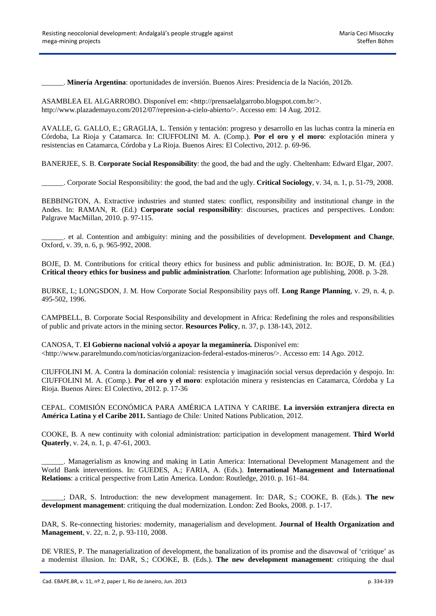\_\_\_\_\_\_. **Minería Argentina**: oportunidades de inversión. Buenos Aires: Presidencia de la Nación, 2012b.

ASAMBLEA EL ALGARROBO. Disponível em: <http://prensaelalgarrobo.blogspot.com.br/>. http://www.plazademayo.com/2012/07/represion-a-cielo-abierto/>. Accesso em: 14 Aug. 2012.

AVALLE, G. GALLO, E.; GRAGLIA, L. Tensión y tentación: progreso y desarrollo en las luchas contra la minería en Córdoba, La Rioja y Catamarca. In: CIUFFOLINI M. A. (Comp.). **Por el oro y el moro**: explotación minera y resistencias en Catamarca, Córdoba y La Rioja. Buenos Aires: El Colectivo, 2012. p. 69-96.

BANERJEE, S. B. **Corporate Social Responsibility**: the good, the bad and the ugly. Cheltenham: Edward Elgar, 2007.

\_\_\_\_\_\_. Corporate Social Responsibility: the good, the bad and the ugly. **Critical Sociology**, v. 34, n. 1, p. 51-79, 2008.

BEBBINGTON, A. Extractive industries and stunted states: conflict, responsibility and institutional change in the Andes. In: RAMAN, R. (Ed.) **Corporate social responsibility**: discourses, practices and perspectives. London: Palgrave MacMillan, 2010. p. 97-115.

\_\_\_\_\_\_. et al. Contention and ambiguity: mining and the possibilities of development. **Development and Change**, Oxford, v. 39, n. 6, p. 965-992, 2008.

BOJE, D. M. Contributions for critical theory ethics for business and public administration. In: BOJE, D. M. (Ed.) **Critical theory ethics for business and public administration**. Charlotte: Information age publishing, 2008. p. 3-28.

BURKE, L; LONGSDON, J. M. How Corporate Social Responsibility pays off. **Long Range Planning**, v. 29, n. 4, p. 495-502, 1996.

CAMPBELL, B. Corporate Social Responsibility and development in Africa: Redefining the roles and responsibilities of public and private actors in the mining sector. **Resources Policy**, n. 37, p. 138-143, 2012.

CANOSA, T. **El Gobierno nacional volvió a apoyar la megaminería***.* Disponível em:

 $\langle$ http://www.pararelmundo.com/noticias/organizacion-federal-estados-mineros/>. Accesso em: 14 Ago. 2012.

CIUFFOLINI M. A. Contra la dominación colonial: resistencia y imaginación social versus depredación y despojo. In: CIUFFOLINI M. A. (Comp.). **Por el oro y el moro**: explotación minera y resistencias en Catamarca, Córdoba y La Rioja. Buenos Aires: El Colectivo, 2012. p. 17-36

CEPAL. COMISIÓN ECONÓMICA PARA AMÉRICA LATINA Y CARIBE. **La inversión extranjera directa en América Latina y el Caribe 2011.** Santiago de Chile*:* United Nations Publication, 2012.

COOKE, B. A new continuity with colonial administration: participation in development management. **Third World Quaterly**, v. 24, n. 1, p. 47-61, 2003.

\_\_\_\_\_\_. Managerialism as knowing and making in Latin America: International Development Management and the World Bank interventions. In: GUEDES, A.; FARIA, A. (Eds.). **International Management and International Relations**: a critical perspective from Latin America. London: Routledge, 2010. p. 161–84.

\_\_\_\_\_\_; DAR, S. Introduction: the new development management. In: DAR, S.; COOKE, B. (Eds.). **The new development management**: critiquing the dual modernization. London: Zed Books, 2008. p. 1-17.

DAR, S. Re-connecting histories: modernity, managerialism and development. **Journal of Health Organization and Management**, v. 22, n. 2, p. 93-110, 2008.

DE VRIES, P. The managerialization of development, the banalization of its promise and the disavowal of 'critique' as a modernist illusion. In: DAR, S.; COOKE, B. (Eds.). **The new development management**: critiquing the dual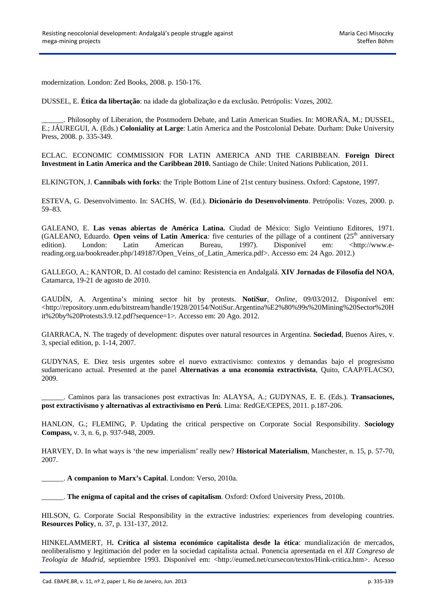modernization. London: Zed Books, 2008. p. 150-176.

DUSSEL, E. **Ética da libertação**: na idade da globalização e da exclusão. Petrópolis: Vozes, 2002.

\_\_\_\_\_\_. Philosophy of Liberation, the Postmodern Debate, and Latin American Studies. In: MORAÑA, M.; DUSSEL, E.; JÁUREGUI, A. (Eds.) **Coloniality at Large**: Latin America and the Postcolonial Debate. Durham: Duke University Press, 2008. p. 335-349.

ECLAC. ECONOMIC COMMISSION FOR LATIN AMERICA AND THE CARIBBEAN. **Foreign Direct Investment in Latin America and the Caribbean 2010.** Santiago de Chile: United Nations Publication, 2011.

ELKINGTON, J. **Cannibals with forks**: the Triple Bottom Line of 21st century business. Oxford: Capstone, 1997.

ESTEVA, G. Desenvolvimento. In: SACHS, W. (Ed.). **Dicionário do Desenvolvimento**. Petrópolis: Vozes, 2000. p. 59–83.

GALEANO, E. **Las venas abiertas de América Latina.** Ciudad de México: Siglo Veintiuno Editores, 1971. (GALEANO, Eduardo. **Open veins of Latin America**: five centuries of the pillage of a continent  $(25<sup>th</sup>$  anniversary edition). London: Latin American Bureau, 1997). Disponível em: <http://www.ereading.org.ua/bookreader.php/149187/Open\_Veins\_of\_Latin\_America.pdf>. Accesso em: 24 Ago. 2012.)

GALLEGO, A.; KANTOR, D. Al costado del camino: Resistencia en Andalgalá. **XIV Jornadas de Filosofía del NOA**, Catamarca, 19-21 de agosto de 2010.

GAUDÍN, A. Argentina's mining sector hit by protests. **NotiSur**, *Online*, 09/03/2012. Disponível em:  $\lt$ http://repository.unm.edu/bitstream/handle/1928/20154/NotiSur.Argentina%E2%80%99s%20Mining%20Sector%20H it%20by%20Protests3.9.12.pdf?sequence=1>. Accesso em: 20 Ago. 2012.

GIARRACA, N. The tragedy of development: disputes over natural resources in Argentina. **Sociedad**, Buenos Aires, v. 3, special edition, p. 1-14, 2007.

GUDYNAS, E. Diez tesis urgentes sobre el nuevo extractivismo: contextos y demandas bajo el progresismo sudamericano actual. Presented at the panel **Alternativas a una economía extractivista**, Quito, CAAP/FLACSO, 2009.

\_\_\_\_\_\_. Caminos para las transaciones post extractivas In: ALAYSA, A.; GUDYNAS, E. E. (Eds.). **Transaciones, post extractivismo y alternativas al extractivismo en Perú**. Lima: RedGE/CEPES, 2011. p.187-206.

HANLON, G.; FLEMING, P. Updating the critical perspective on Corporate Social Responsibility. **Sociology Compass,** v. 3, n. 6, p. 937-948, 2009.

HARVEY, D. In what ways is 'the new imperialism' really new? **Historical Materialism**, Manchester, n. 15, p. 57-70, 2007.

\_\_\_\_\_\_. **A companion to Marx's Capital**. London: Verso, 2010a.

\_\_\_\_\_\_. **The enigma of capital and the crises of capitalism**. Oxford: Oxford University Press, 2010b.

HILSON, G. Corporate Social Responsibility in the extractive industries: experiences from developing countries. **Resources Policy**, n. 37, p. 131-137, 2012.

HINKELAMMERT, H**. Crítica al sistema económico capitalista desde la ética**: mundialización de mercados, neoliberalismo y legitimación del poder en la sociedad capitalista actual. Ponencia apresentada en el *XII Congreso de Teología de Madrid*, septiembre 1993. Disponível em: <http://eumed.net/cursecon/textos/Hink-critica.htm>. Acesso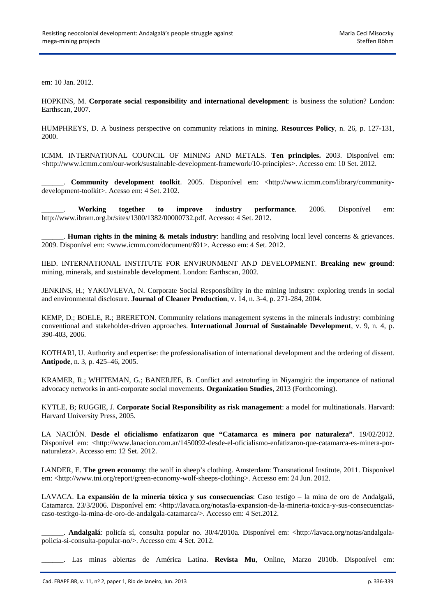em: 10 Jan. 2012.

HOPKINS, M. **Corporate social responsibility and international development**: is business the solution? London: Earthscan, 2007.

HUMPHREYS, D. A business perspective on community relations in mining. **Resources Policy**, n. 26, p. 127-131, 2000.

ICMM. INTERNATIONAL COUNCIL OF MINING AND METALS. **Ten principles.** 2003. Disponível em: <http://www.icmm.com/our-work/sustainable-development-framework/10-principles>. Accesso em: 10 Set. 2012.

\_\_\_\_\_\_. **Community development toolkit**. 2005. Disponível em: <http://www.icmm.com/library/communitydevelopment-toolkit>. Acesso em: 4 Set. 2102.

\_\_\_\_\_\_. **Working together to improve industry performance**. 2006. Disponível em: http://www.ibram.org.br/sites/1300/1382/00000732.pdf. Accesso: 4 Set. 2012.

\_\_\_\_\_\_. **Human rights in the mining & metals industry**: handling and resolving local level concerns & grievances. 2009. Disponível em: <www.icmm.com/document/691>. Accesso em: 4 Set. 2012.

IIED. INTERNATIONAL INSTITUTE FOR ENVIRONMENT AND DEVELOPMENT. **Breaking new ground**: mining, minerals, and sustainable development. London: Earthscan, 2002.

JENKINS, H.; YAKOVLEVA, N. Corporate Social Responsibility in the mining industry: exploring trends in social and environmental disclosure. **Journal of Cleaner Production**, v. 14, n. 3-4, p. 271-284, 2004.

KEMP, D.; BOELE, R.; BRERETON. Community relations management systems in the minerals industry: combining conventional and stakeholder-driven approaches. **International Journal of Sustainable Development**, v. 9, n. 4, p. 390-403, 2006.

KOTHARI, U. Authority and expertise: the professionalisation of international development and the ordering of dissent. **Antipode**, n. 3, p. 425–46, 2005.

KRAMER, R.; WHITEMAN, G.; BANERJEE, B. Conflict and astroturfing in Niyamgiri: the importance of national advocacy networks in anti-corporate social movements. **Organization Studies**, 2013 (Forthcoming).

KYTLE, B; RUGGIE, J. **Corporate Social Responsibility as risk management**: a model for multinationals. Harvard: Harvard University Press, 2005.

LA NACIÓN. **Desde el oficialismo enfatizaron que "Catamarca es minera por naturaleza"**. 19/02/2012. Disponível em: <http://www.lanacion.com.ar/1450092-desde-el-oficialismo-enfatizaron-que-catamarca-es-minera-pornaturaleza>. Accesso em: 12 Set. 2012.

LANDER, E. **The green economy**: the wolf in sheep's clothing. Amsterdam: Transnational Institute, 2011. Disponível em: <http://www.tni.org/report/green-economy-wolf-sheeps-clothing>. Accesso em: 24 Jun. 2012.

LAVACA. **La expansión de la minería tóxica y sus consecuencias**: Caso testigo – la mina de oro de Andalgalá, Catamarca. 23/3/2006. Disponível em: <http://lavaca.org/notas/la-expansion-de-la-mineria-toxica-y-sus-consecuenciascaso-testitgo-la-mina-de-oro-de-andalgala-catamarca/>. Accesso em: 4 Set.2012.

\_\_\_\_\_\_. **Andalgalá**: policía sí, consulta popular no. 30/4/2010a. Disponível em: <http://lavaca.org/notas/andalgalapolicia-si-consulta-popular-no/>. Accesso em: 4 Set. 2012.

\_\_\_\_\_\_. Las minas abiertas de América Latina. **Revista Mu**, Online, Marzo 2010b. Disponível em: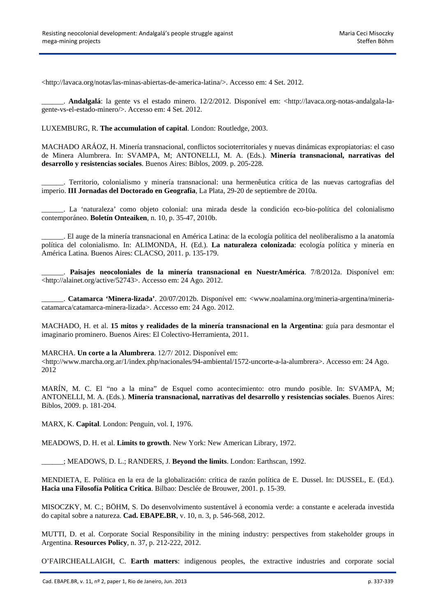<http://lavaca.org/notas/las-minas-abiertas-de-america-latina/>. Accesso em: 4 Set. 2012.

\_\_\_\_\_\_. **Andalgalá**: la gente vs el estado minero. 12/2/2012. Disponível em: <http://lavaca.org-notas-andalgala-lagente-vs-el-estado-minero/>. Accesso em: 4 Set. 2012.

LUXEMBURG, R. **The accumulation of capital**. London: Routledge, 2003.

MACHADO ARÁOZ, H. Minería transnacional, conflictos socioterritoriales y nuevas dinámicas expropiatorias: el caso de Minera Alumbrera. In: SVAMPA, M; ANTONELLI, M. A. (Eds.). **Minería transnacional, narrativas del desarrollo y resistencias sociales**. Buenos Aires: Biblos, 2009. p. 205-228.

\_\_\_\_\_\_. Territorio, colonialismo y minería transnacional: una hermenêutica crítica de las nuevas cartografias del imperio. **III Jornadas del Doctorado en Geografia**, La Plata, 29-20 de septiembre de 2010a.

\_\_\_\_\_\_. La 'naturaleza' como objeto colonial: una mirada desde la condición eco-bio-política del colonialismo contemporáneo. **Boletín Onteaiken**, n. 10, p. 35-47, 2010b.

\_\_\_\_\_\_. El auge de la minería transnacional en América Latina: de la ecología política del neoliberalismo a la anatomía política del colonialismo. In: ALIMONDA, H. (Ed.). **La naturaleza colonizada**: ecología política y minería en América Latina. Buenos Aires: CLACSO, 2011. p. 135-179.

\_\_\_\_\_\_. **Paisajes neocoloniales de la minería transnacional en NuestrAmérica**. 7/8/2012a. Disponível em: <http://alainet.org/active/52743>. Accesso em: 24 Ago. 2012.

\_\_\_\_\_\_. **Catamarca 'Minera-lizada'**. 20/07/2012b. Disponível em: <www.noalamina.org/mineria-argentina/mineriacatamarca/catamarca-minera-lizada>. Accesso em: 24 Ago. 2012.

MACHADO, H. et al. **15 mitos y realidades de la minería transnacional en la Argentina**: guía para desmontar el imaginario prominero. Buenos Aires: El Colectivo-Herramienta, 2011.

MARCHA. **Un corte a la Alumbrera**. 12/7/ 2012. Disponível em:

<http://www.marcha.org.ar/1/index.php/nacionales/94-ambiental/1572-uncorte-a-la-alumbrera>. Accesso em: 24 Ago. 2012

MARÍN, M. C. El "no a la mina" de Esquel como acontecimiento: otro mundo posible. In: SVAMPA, M; ANTONELLI, M. A. (Eds.). **Minería transnacional, narrativas del desarrollo y resistencias sociales**. Buenos Aires: Biblos, 2009. p. 181-204.

MARX, K. **Capital**. London: Penguin, vol. I, 1976.

MEADOWS, D. H. et al. **Limits to growth**. New York: New American Library, 1972.

\_\_\_\_\_\_; MEADOWS, D. L.; RANDERS, J. **Beyond the limits**. London: Earthscan, 1992.

MENDIETA, E. Política en la era de la globalización: crítica de razón política de E. Dussel. In: DUSSEL, E. (Ed.). **Hacia una Filosofía Política Critica**. Bilbao: Desclée de Brouwer, 2001. p. 15-39.

MISOCZKY, M. C.; BÖHM, S. Do desenvolvimento sustentável à economia verde: a constante e acelerada investida do capital sobre a natureza. **Cad. EBAPE.BR**, v. 10, n. 3, p. 546-568, 2012.

MUTTI, D. et al. Corporate Social Responsibility in the mining industry: perspectives from stakeholder groups in Argentina. **Resources Policy**, n. 37, p. 212-222, 2012.

O'FAIRCHEALLAIGH, C. **Earth matters**: indigenous peoples, the extractive industries and corporate social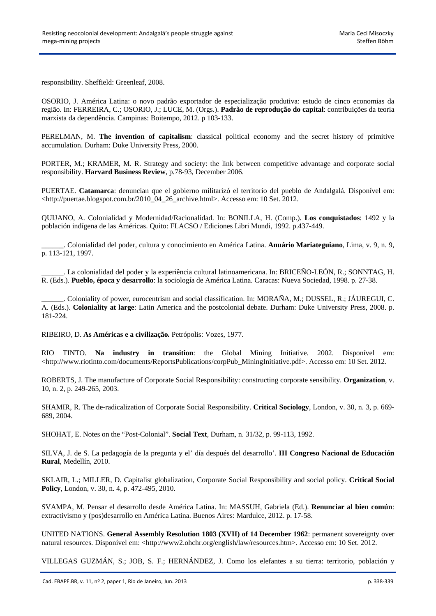responsibility. Sheffield: Greenleaf, 2008.

OSORIO, J. América Latina: o novo padrão exportador de especialização produtiva: estudo de cinco economias da região. In: FERREIRA, C.; OSORIO, J.; LUCE, M. (Orgs.). **Padrão de reprodução do capital**: contribuições da teoria marxista da dependência. Campinas: Boitempo, 2012. p 103-133.

PERELMAN, M. **The invention of capitalism**: classical political economy and the secret history of primitive accumulation. Durham: Duke University Press, 2000.

PORTER, M.; KRAMER, M. R. Strategy and society: the link between competitive advantage and corporate social responsibility. **Harvard Business Review**, p.78-93, December 2006.

PUERTAE. **Catamarca**: denuncian que el gobierno militarizó el territorio del pueblo de Andalgalá. Disponível em: <http://puertae.blogspot.com.br/2010\_04\_26\_archive.html>. Accesso em: 10 Set. 2012.

QUIJANO, A. Colonialidad y Modernidad/Racionalidad. In: BONILLA, H. (Comp.). **Los conquistados**: 1492 y la población indígena de las Américas. Quito: FLACSO / Ediciones Libri Mundi, 1992. p.437-449.

\_\_\_\_\_\_. Colonialidad del poder, cultura y conocimiento en América Latina. **Anuário Mariateguiano**, Lima, v. 9, n. 9, p. 113-121, 1997.

\_\_\_\_\_\_. La colonialidad del poder y la experiência cultural latinoamericana. In: BRICEÑO-LEÓN, R.; SONNTAG, H. R. (Eds.). **Pueblo, época y desarrollo**: la sociología de América Latina. Caracas: Nueva Sociedad, 1998. p. 27-38.

\_\_\_\_\_\_. Coloniality of power, eurocentrism and social classification. In: MORAÑA, M.; DUSSEL, R.; JÁUREGUI, C. A. (Eds.). **Coloniality at large**: Latin America and the postcolonial debate. Durham: Duke University Press, 2008. p. 181-224.

RIBEIRO, D. **As Américas e a civilização***.* Petrópolis: Vozes, 1977.

RIO TINTO. **Na industry in transition**: the Global Mining Initiative. 2002. Disponível em: <http://www.riotinto.com/documents/ReportsPublications/corpPub\_MiningInitiative.pdf>. Accesso em: 10 Set. 2012.

ROBERTS, J. The manufacture of Corporate Social Responsibility: constructing corporate sensibility. **Organization**, v. 10, n. 2, p. 249-265, 2003.

SHAMIR, R. The de-radicalization of Corporate Social Responsibility. **Critical Sociology**, London, v. 30, n. 3, p. 669- 689, 2004.

SHOHAT, E. Notes on the "Post-Colonial". **Social Text**, Durham, n. 31/32, p. 99-113, 1992.

SILVA, J. de S. La pedagogía de la pregunta y el' día después del desarrollo'. **III Congreso Nacional de Educación Rural**, Medellín, 2010.

SKLAIR, L.; MILLER, D. Capitalist globalization, Corporate Social Responsibility and social policy. **Critical Social Policy**, London, v. 30, n. 4, p. 472-495, 2010.

SVAMPA, M. Pensar el desarrollo desde América Latina. In: MASSUH, Gabriela (Ed.). **Renunciar al bien común**: extractivismo y (pos)desarrollo en América Latina. Buenos Aires: Mardulce, 2012. p. 17-58.

UNITED NATIONS. **General Assembly Resolution 1803 (XVII) of 14 December 1962**: permanent sovereignty over natural resources. Disponível em: <http://www2.ohchr.org/english/law/resources.htm>. Accesso em: 10 Set. 2012.

VILLEGAS GUZMÁN, S.; JOB, S. F.; HERNÁNDEZ, J. Como los elefantes a su tierra: territorio, población y